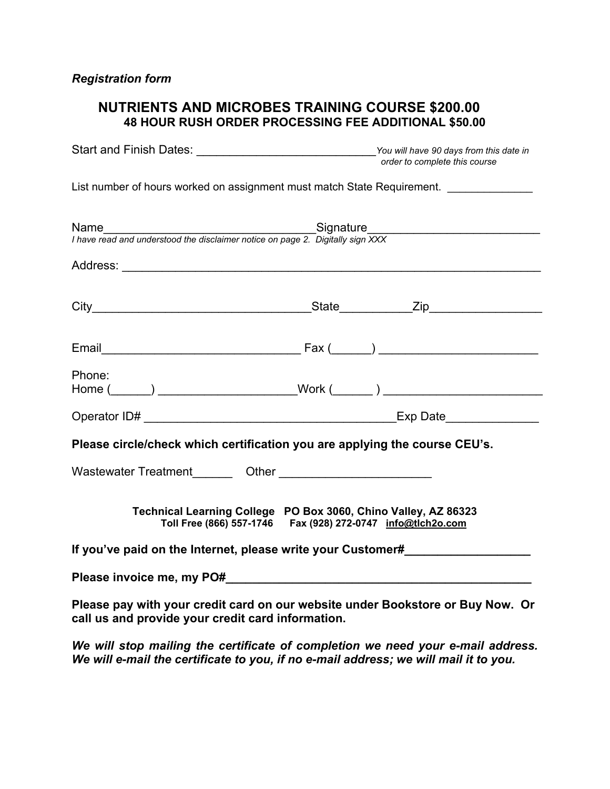## **NUTRIENTS AND MICROBES TRAINING COURSE \$200.00 48 HOUR RUSH ORDER PROCESSING FEE ADDITIONAL \$50.00**

|                                                                                                                                     |                                                                   | You will have 90 days from this date in<br>order to complete this course |
|-------------------------------------------------------------------------------------------------------------------------------------|-------------------------------------------------------------------|--------------------------------------------------------------------------|
| List number of hours worked on assignment must match State Requirement. _________                                                   |                                                                   |                                                                          |
| Name<br>I have read and understood the disclaimer notice on page 2. Digitally sign XXX                                              |                                                                   |                                                                          |
|                                                                                                                                     |                                                                   |                                                                          |
|                                                                                                                                     |                                                                   |                                                                          |
|                                                                                                                                     |                                                                   |                                                                          |
| Phone:                                                                                                                              |                                                                   |                                                                          |
|                                                                                                                                     |                                                                   |                                                                          |
| Please circle/check which certification you are applying the course CEU's.                                                          |                                                                   |                                                                          |
|                                                                                                                                     |                                                                   |                                                                          |
|                                                                                                                                     | Toll Free (866) 557-1746    Fax (928) 272-0747    info@tlch2o.com | Technical Learning College PO Box 3060, Chino Valley, AZ 86323           |
| If you've paid on the Internet, please write your Customer#                                                                         |                                                                   |                                                                          |
|                                                                                                                                     |                                                                   |                                                                          |
| Please pay with your credit card on our website under Bookstore or Buy Now. Or<br>call us and provide your credit card information. |                                                                   |                                                                          |

*We will stop mailing the certificate of completion we need your e-mail address. We will e-mail the certificate to you, if no e-mail address; we will mail it to you.*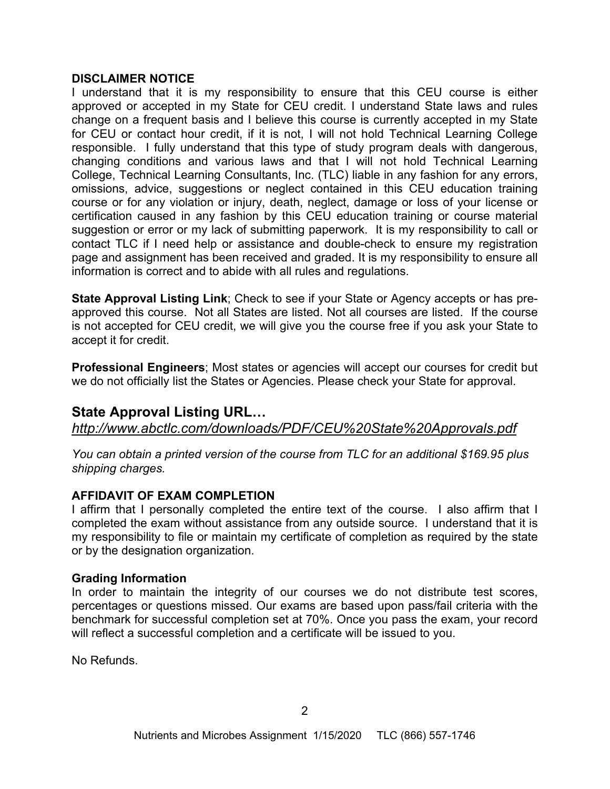## **DISCLAIMER NOTICE**

I understand that it is my responsibility to ensure that this CEU course is either approved or accepted in my State for CEU credit. I understand State laws and rules change on a frequent basis and I believe this course is currently accepted in my State for CEU or contact hour credit, if it is not, I will not hold Technical Learning College responsible. I fully understand that this type of study program deals with dangerous, changing conditions and various laws and that I will not hold Technical Learning College, Technical Learning Consultants, Inc. (TLC) liable in any fashion for any errors, omissions, advice, suggestions or neglect contained in this CEU education training course or for any violation or injury, death, neglect, damage or loss of your license or certification caused in any fashion by this CEU education training or course material suggestion or error or my lack of submitting paperwork. It is my responsibility to call or contact TLC if I need help or assistance and double-check to ensure my registration page and assignment has been received and graded. It is my responsibility to ensure all information is correct and to abide with all rules and regulations.

**State Approval Listing Link**; Check to see if your State or Agency accepts or has preapproved this course. Not all States are listed. Not all courses are listed. If the course is not accepted for CEU credit, we will give you the course free if you ask your State to accept it for credit.

**Professional Engineers**; Most states or agencies will accept our courses for credit but we do not officially list the States or Agencies. Please check your State for approval.

## **State Approval Listing URL…**

*<http://www.abctlc.com/downloads/PDF/CEU%20State%20Approvals.pdf>*

*You can obtain a printed version of the course from TLC for an additional \$169.95 plus shipping charges.* 

## **AFFIDAVIT OF EXAM COMPLETION**

I affirm that I personally completed the entire text of the course. I also affirm that I completed the exam without assistance from any outside source. I understand that it is my responsibility to file or maintain my certificate of completion as required by the state or by the designation organization.

## **Grading Information**

In order to maintain the integrity of our courses we do not distribute test scores, percentages or questions missed. Our exams are based upon pass/fail criteria with the benchmark for successful completion set at 70%. Once you pass the exam, your record will reflect a successful completion and a certificate will be issued to you.

No Refunds.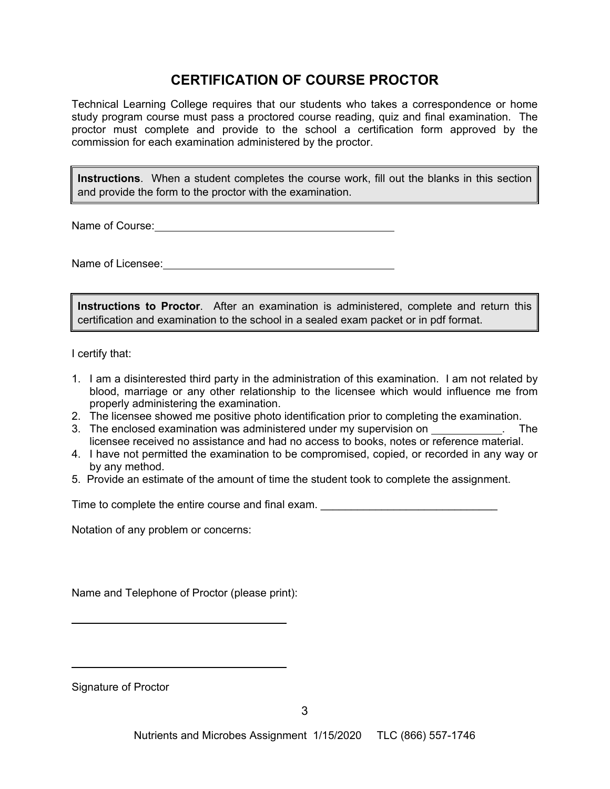# **CERTIFICATION OF COURSE PROCTOR**

Technical Learning College requires that our students who takes a correspondence or home study program course must pass a proctored course reading, quiz and final examination. The proctor must complete and provide to the school a certification form approved by the commission for each examination administered by the proctor.

**Instructions**. When a student completes the course work, fill out the blanks in this section and provide the form to the proctor with the examination.

Name of Course: **Name of Course:** 

Name of Licensee:

**Instructions to Proctor**. After an examination is administered, complete and return this certification and examination to the school in a sealed exam packet or in pdf format.

I certify that:

- 1. I am a disinterested third party in the administration of this examination. I am not related by blood, marriage or any other relationship to the licensee which would influence me from properly administering the examination.
- 2. The licensee showed me positive photo identification prior to completing the examination.
- 3. The enclosed examination was administered under my supervision on . The licensee received no assistance and had no access to books, notes or reference material.
- 4. I have not permitted the examination to be compromised, copied, or recorded in any way or by any method.
- 5. Provide an estimate of the amount of time the student took to complete the assignment.

Time to complete the entire course and final exam.

Notation of any problem or concerns:

Name and Telephone of Proctor (please print):

Signature of Proctor

 $\overline{a}$ 

 $\overline{a}$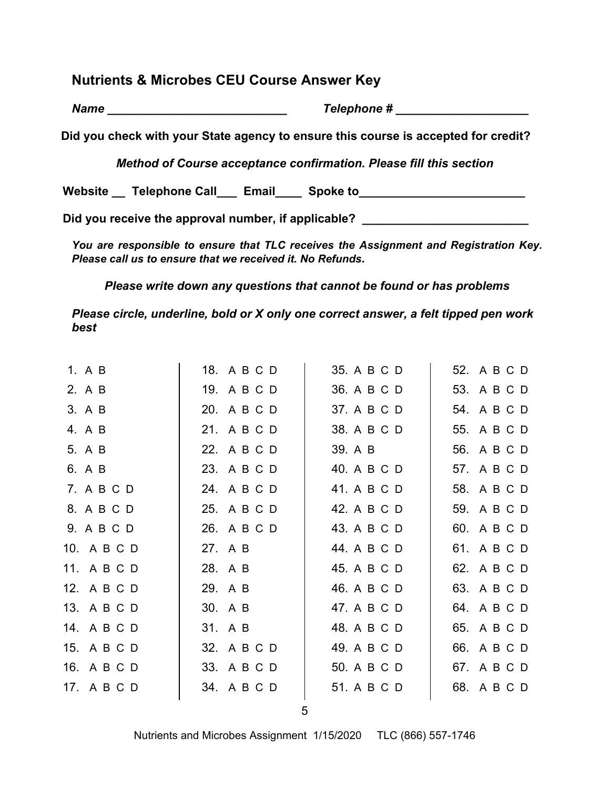**Nutrients & Microbes CEU Course Answer Key**

*Name \_\_\_\_\_\_\_\_\_\_\_\_\_\_\_\_\_\_\_\_\_\_\_\_\_\_\_ Telephone # \_\_\_\_\_\_\_\_\_\_\_\_\_\_\_\_\_\_\_\_* 

**Did you check with your State agency to ensure this course is accepted for credit?** 

*Method of Course acceptance confirmation. Please fill this section* 

Website \_\_ Telephone Call \_\_ Email \_\_\_ Spoke to \_\_\_\_\_\_\_\_\_\_\_\_\_\_\_\_\_\_\_\_\_\_\_\_\_\_\_\_\_\_\_\_

Did you receive the approval number, if applicable? **Did you receive** the approximate of the state of the state of

*You are responsible to ensure that TLC receives the Assignment and Registration Key. Please call us to ensure that we received it. No Refunds***.**

*Please write down any questions that cannot be found or has problems* 

*Please circle, underline, bold or X only one correct answer, a felt tipped pen work best*

| 1. A B      | 18. A B C D | 35. A B C D | 52. A B C D |
|-------------|-------------|-------------|-------------|
| 2. A B      | 19. A B C D | 36. A B C D | 53. A B C D |
| 3. A B      | 20. A B C D | 37. A B C D | 54. A B C D |
| 4. A B      | 21. A B C D | 38. A B C D | 55. A B C D |
| 5. A B      | 22. A B C D | 39. A B     | 56. A B C D |
| 6. A B      | 23. A B C D | 40. A B C D | 57. A B C D |
| 7. A B C D  | 24. A B C D | 41. A B C D | 58. A B C D |
| 8. A B C D  | 25. A B C D | 42. A B C D | 59. A B C D |
| 9. A B C D  | 26. A B C D | 43. A B C D | 60. A B C D |
| 10. A B C D | 27. A B     | 44. A B C D | 61. A B C D |
| 11. A B C D | 28. A B     | 45. A B C D | 62. A B C D |
| 12. A B C D | 29. A B     | 46. A B C D | 63. A B C D |
| 13. A B C D | 30. A B     | 47. A B C D | 64. A B C D |
| 14. A B C D | 31. A B     | 48. A B C D | 65. A B C D |
| 15. A B C D | 32. A B C D | 49. A B C D | 66. A B C D |
| 16. A B C D | 33. A B C D | 50. A B C D | 67. A B C D |
| 17. A B C D | 34. A B C D | 51. A B C D | 68. A B C D |
|             |             |             |             |

5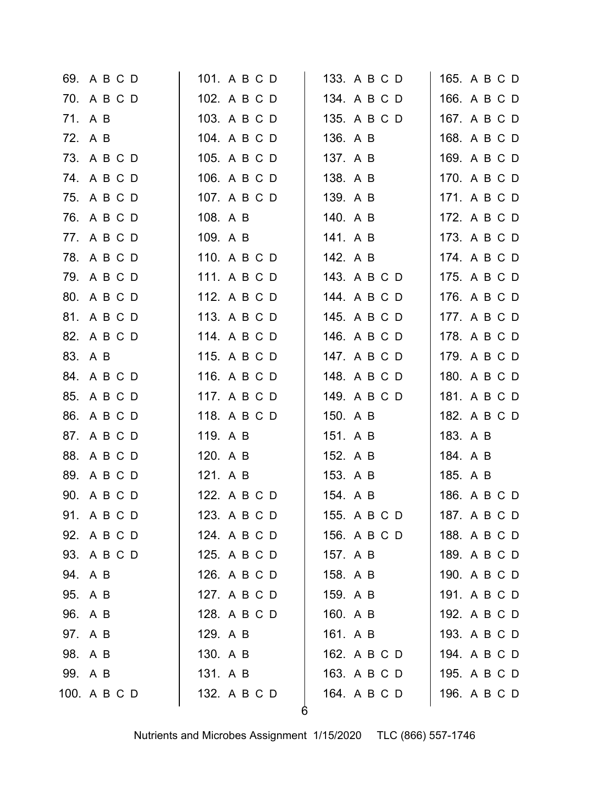| 69. A B C D  | 101. A B C D | 133. A B C D | 165. A B C D |
|--------------|--------------|--------------|--------------|
| 70. A B C D  | 102. A B C D | 134. A B C D | 166. A B C D |
| 71. A B      | 103. A B C D | 135. A B C D | 167. A B C D |
| 72. A B      | 104. A B C D | 136. A B     | 168. A B C D |
| 73. A B C D  | 105. A B C D | 137. A B     | 169. A B C D |
| 74. A B C D  | 106. A B C D | 138. A B     | 170. A B C D |
| 75. A B C D  | 107. A B C D | 139. A B     | 171. A B C D |
| 76. A B C D  | 108. A B     | 140. A B     | 172. A B C D |
| 77. A B C D  | 109. A B     | 141. A B     | 173. A B C D |
| 78. A B C D  | 110. A B C D | 142. A B     | 174. A B C D |
| 79. A B C D  | 111. A B C D | 143. A B C D | 175. A B C D |
| 80. A B C D  | 112. A B C D | 144. A B C D | 176. A B C D |
| 81. A B C D  | 113. A B C D | 145. A B C D | 177. A B C D |
| 82. A B C D  | 114. A B C D | 146. A B C D | 178. A B C D |
| 83. A B      | 115. A B C D | 147. A B C D | 179. A B C D |
| 84. A B C D  | 116. A B C D | 148. A B C D | 180. A B C D |
| 85. A B C D  | 117. A B C D | 149. A B C D | 181. A B C D |
| 86. A B C D  | 118. A B C D | 150. A B     | 182. A B C D |
| 87. A B C D  | 119. A B     | 151. A B     | 183. A B     |
| 88. A B C D  | 120. A B     | 152. A B     | 184. A B     |
| 89. A B C D  | 121. A B     | 153. A B     | 185. A B     |
| 90. A B C D  | 122. A B C D | 154. A B     | 186. A B C D |
| 91. A B C D  | 123. A B C D | 155. A B C D | 187. A B C D |
| 92. A B C D  | 124. A B C D | 156. A B C D | 188. A B C D |
| 93. A B C D  | 125. A B C D | 157. A B     | 189. A B C D |
| 94. A B      | 126. A B C D | 158. A B     | 190. A B C D |
| 95. A B      | 127. A B C D | 159. A B     | 191. A B C D |
| 96. A B      | 128. A B C D | 160. A B     | 192. A B C D |
| 97. A B      | 129. A B     | 161. A B     | 193. A B C D |
| 98. A B      | 130. A B     | 162. A B C D | 194. A B C D |
| 99. A B      | 131. A B     | 163. A B C D | 195. A B C D |
| 100. A B C D | 132. A B C D | 164. A B C D | 196. A B C D |
|              | 6            |              |              |

Nutrients and Microbes Assignment 1/15/2020 TLC (866) 557-1746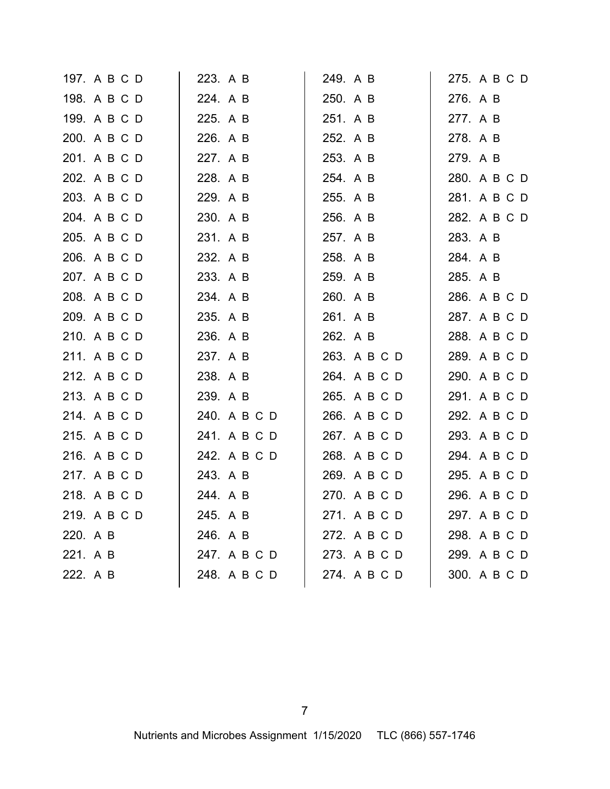| 197. A B C D | 223. A B     | 249. A B     | 275. A B C D |
|--------------|--------------|--------------|--------------|
| 198. A B C D | 224. A B     | 250. A B     | 276. A B     |
| 199. A B C D | 225. A B     | 251. A B     | 277. A B     |
| 200. A B C D | 226. A B     | 252. A B     | 278. A B     |
| 201. A B C D | 227. A B     | 253. A B     | 279. A B     |
| 202. A B C D | 228. A B     | 254. A B     | 280. A B C D |
| 203. A B C D | 229. A B     | 255. A B     | 281. A B C D |
| 204. A B C D | 230. A B     | 256. A B     | 282. A B C D |
| 205. A B C D | 231. A B     | 257. A B     | 283. A B     |
| 206. A B C D | 232. A B     | 258. A B     | 284. A B     |
| 207. A B C D | 233. A B     | 259. A B     | 285. A B     |
| 208. A B C D | 234. A B     | 260. A B     | 286. A B C D |
| 209. A B C D | 235. A B     | 261. A B     | 287. A B C D |
| 210. A B C D | 236. A B     | 262. A B     | 288. A B C D |
| 211. A B C D | 237. A B     | 263. A B C D | 289. A B C D |
| 212. A B C D | 238. A B     | 264. A B C D | 290. A B C D |
| 213. A B C D | 239. A B     | 265. A B C D | 291. A B C D |
| 214. A B C D | 240. A B C D | 266. A B C D | 292. A B C D |
| 215. A B C D | 241. A B C D | 267. A B C D | 293. A B C D |
| 216. A B C D | 242. A B C D | 268. A B C D | 294. A B C D |
| 217. A B C D | 243. A B     | 269. A B C D | 295. A B C D |
| 218. A B C D | 244. A B     | 270. A B C D | 296. A B C D |
| 219. A B C D | 245. A B     | 271. A B C D | 297. A B C D |
| 220. A B     | 246. A B     | 272. A B C D | 298. A B C D |
| 221. A B     | 247. A B C D | 273. A B C D | 299. A B C D |
| 222. A B     | 248. A B C D | 274. A B C D | 300. A B C D |
|              |              |              |              |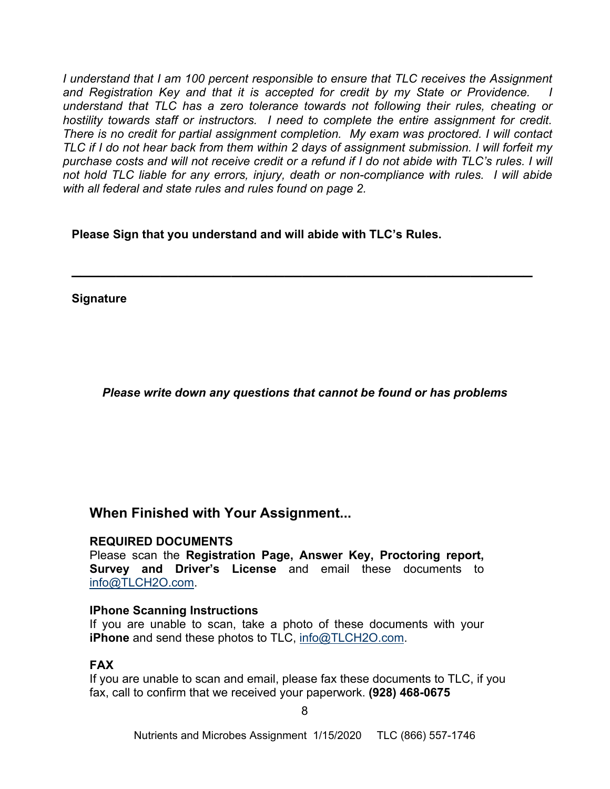*I understand that I am 100 percent responsible to ensure that TLC receives the Assignment*  and Registration Key and that it is accepted for credit by my State or Providence. *understand that TLC has a zero tolerance towards not following their rules, cheating or hostility towards staff or instructors. I need to complete the entire assignment for credit. There is no credit for partial assignment completion. My exam was proctored. I will contact TLC if I do not hear back from them within 2 days of assignment submission. I will forfeit my purchase costs and will not receive credit or a refund if I do not abide with TLC's rules. I will not hold TLC liable for any errors, injury, death or non-compliance with rules. I will abide with all federal and state rules and rules found on page 2.* 

**Please Sign that you understand and will abide with TLC's Rules.** 

**Signature** 

*Please write down any questions that cannot be found or has problems* 

**\_\_\_\_\_\_\_\_\_\_\_\_\_\_\_\_\_\_\_\_\_\_\_\_\_\_\_\_\_\_\_\_\_\_\_\_\_\_\_\_\_\_\_\_\_\_\_\_\_\_\_\_** 

**When Finished with Your Assignment...** 

## **REQUIRED DOCUMENTS**

Please scan the **Registration Page, Answer Key, Proctoring report, Survey and Driver's License** and email these documents to [info@TLCH2O.com.](mailto:info@TLCH2O.com) 

## **IPhone Scanning Instructions**

If you are unable to scan, take a photo of these documents with your **iPhone** and send these photos to TLC, [info@TLCH2O.com.](mailto:info@TLCH2O.com) 

## **FAX**

If you are unable to scan and email, please fax these documents to TLC, if you fax, call to confirm that we received your paperwork. **(928) 468-0675**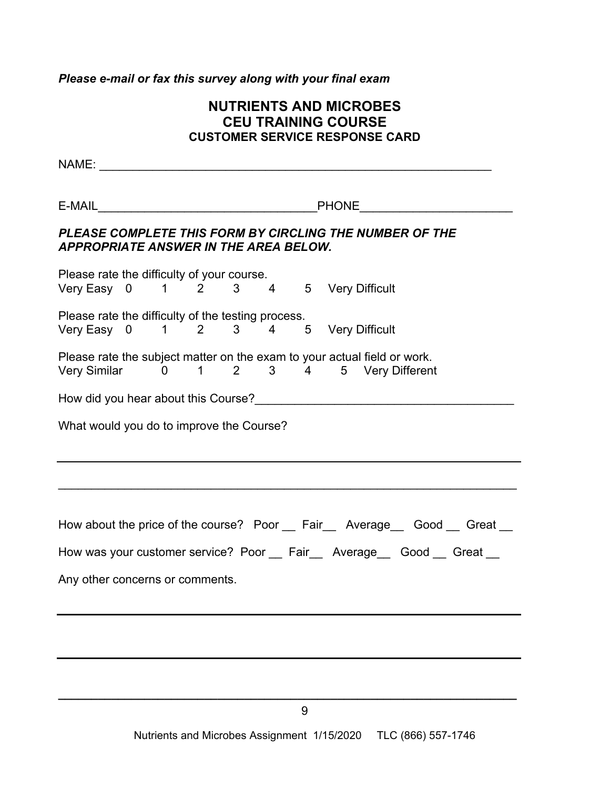*Please e-mail or fax this survey along with your final exam*

## **NUTRIENTS AND MICROBES CEU TRAINING COURSE CUSTOMER SERVICE RESPONSE CARD**

NAME: \_\_\_\_\_\_\_\_\_\_\_\_\_\_\_\_\_\_\_\_\_\_\_\_\_\_\_\_\_\_\_\_\_\_\_\_\_\_\_\_\_\_\_\_\_\_\_\_\_\_\_\_\_\_\_\_\_\_\_ E-MAIL E-MAIL *PLEASE COMPLETE THIS FORM BY CIRCLING THE NUMBER OF THE APPROPRIATE ANSWER IN THE AREA BELOW.*  Please rate the difficulty of your course. Very Easy 0 1 2 3 4 5 Very Difficult Please rate the difficulty of the testing process. Very Easy 0 1 2 3 4 5 Very Difficult Please rate the subject matter on the exam to your actual field or work. Very Similar 0 1 2 3 4 5 Very Different How did you hear about this Course?\_\_\_\_\_\_\_\_\_\_\_\_\_\_\_\_\_\_\_\_\_\_\_\_\_\_\_\_\_\_\_\_\_\_\_\_\_\_\_ What would you do to improve the Course?  $\mathcal{L}_\mathcal{L} = \mathcal{L}_\mathcal{L} = \mathcal{L}_\mathcal{L} = \mathcal{L}_\mathcal{L} = \mathcal{L}_\mathcal{L} = \mathcal{L}_\mathcal{L} = \mathcal{L}_\mathcal{L} = \mathcal{L}_\mathcal{L} = \mathcal{L}_\mathcal{L} = \mathcal{L}_\mathcal{L} = \mathcal{L}_\mathcal{L} = \mathcal{L}_\mathcal{L} = \mathcal{L}_\mathcal{L} = \mathcal{L}_\mathcal{L} = \mathcal{L}_\mathcal{L} = \mathcal{L}_\mathcal{L} = \mathcal{L}_\mathcal{L}$ How about the price of the course? Poor Fair Average Good Great How was your customer service? Poor \_\_ Fair \_\_ Average \_\_ Good \_\_ Great \_\_ Any other concerns or comments.

**\_\_\_\_\_\_\_\_\_\_\_\_\_\_\_\_\_\_\_\_\_\_\_\_\_\_\_\_\_\_\_\_\_\_\_\_\_\_\_\_\_\_\_\_\_\_\_\_\_\_\_\_\_\_\_\_\_\_\_\_\_\_\_\_\_\_\_\_\_**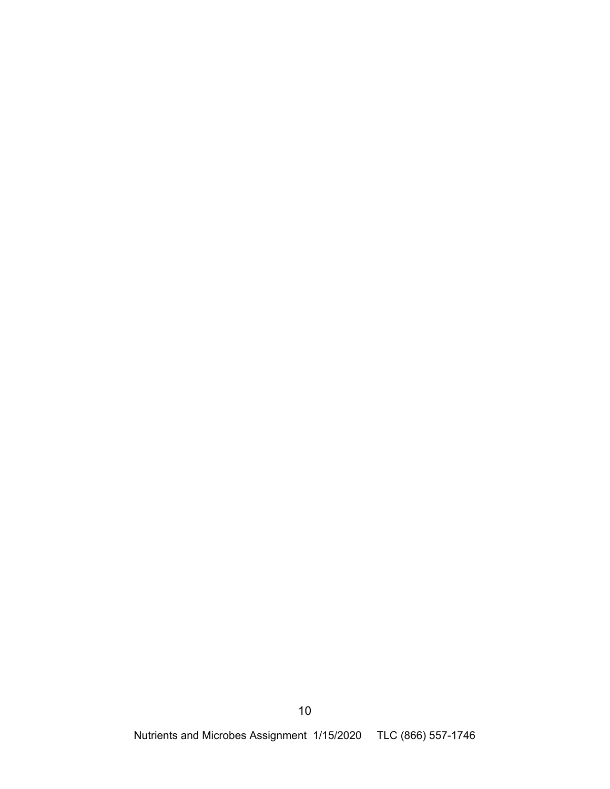Nutrients and Microbes Assignment 1/15/2020 TLC (866) 557-1746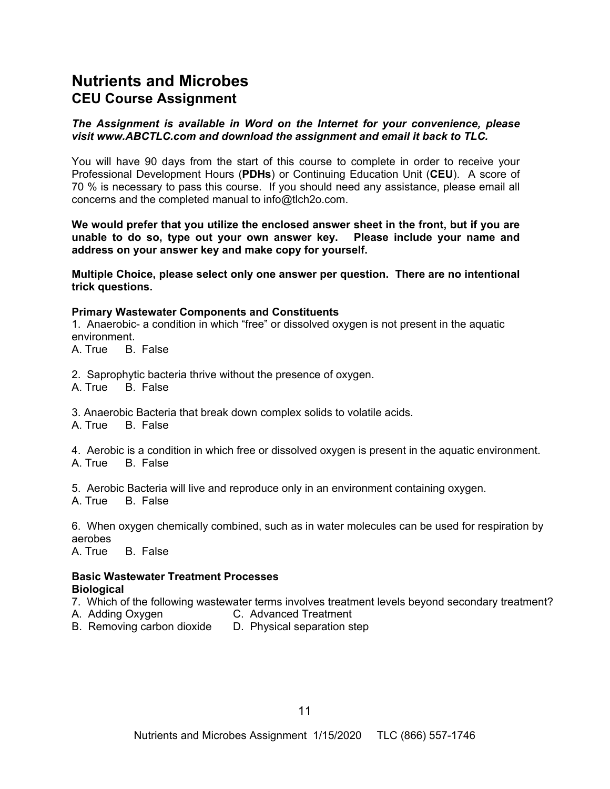# **Nutrients and Microbes CEU Course Assignment**

*The Assignment is available in Word on the Internet for your convenience, please visit [www.ABCTLC.com an](http://www.ABCTLC.com)d download the assignment and email it back to TLC.* 

You will have 90 days from the start of this course to complete in order to receive your Professional Development Hours (**PDHs**) or Continuing Education Unit (**CEU**). A score of 70 % is necessary to pass this course. If you should need any assistance, please email all concerns and the completed manual to [info@tlch2o.com.](mailto:info@tlch2o.com) 

**We would prefer that you utilize the enclosed answer sheet in the front, but if you are unable to do so, type out your own answer key. Please include your name and address on your answer key and make copy for yourself.** 

**Multiple Choice, please select only one answer per question. There are no intentional trick questions.** 

#### **Primary Wastewater Components and Constituents**

1. Anaerobic- a condition in which "free" or dissolved oxygen is not present in the aquatic environment.

A. True B. False

2. Saprophytic bacteria thrive without the presence of oxygen.

A. True B. False

3. Anaerobic Bacteria that break down complex solids to volatile acids.

A. True B. False

4. Aerobic is a condition in which free or dissolved oxygen is present in the aquatic environment. A. True B. False

5. Aerobic Bacteria will live and reproduce only in an environment containing oxygen.

A. True B. False

6. When oxygen chemically combined, such as in water molecules can be used for respiration by aerobes

A. True B. False

#### **Basic Wastewater Treatment Processes Biological**

- 7. Which of the following wastewater terms involves treatment levels beyond secondary treatment?
- A. Adding Oxygen C. Advanced Treatment
- B. Removing carbon dioxide D. Physical separation step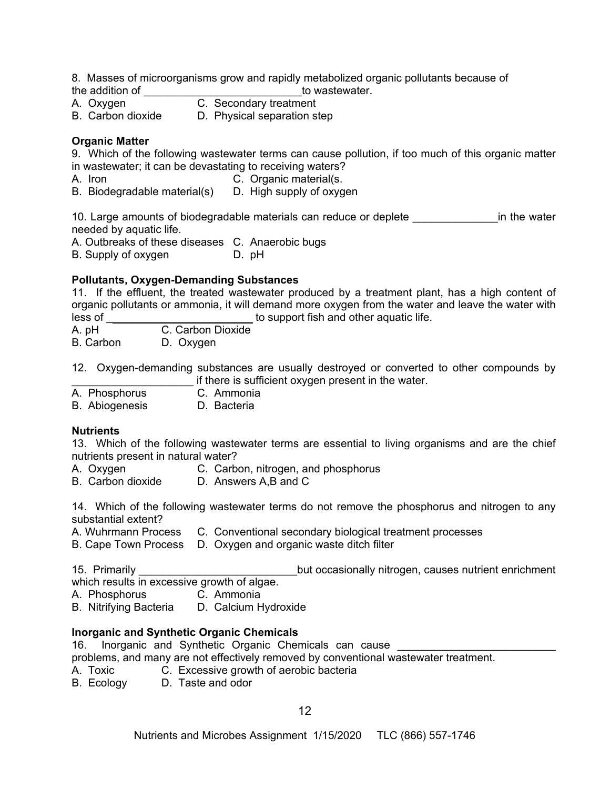8. Masses of microorganisms grow and rapidly metabolized organic pollutants because of

- 
- the addition of \_\_\_\_\_\_\_\_\_\_\_\_\_\_\_\_\_\_\_\_\_\_\_\_\_\_to wastewater.
- A. Oxygen **C. Secondary treatment**
- B. Carbon dioxide D. Physical separation step

## **Organic Matter**

- 9. Which of the following wastewater terms can cause pollution, if too much of this organic matter in wastewater; it can be devastating to receiving waters?
- A. Iron C. Organic material(s.
- B. Biodegradable material(s) D. High supply of oxygen

10. Large amounts of biodegradable materials can reduce or deplete **the same in the water** needed by aquatic life.

A. Outbreaks of these diseases C. Anaerobic bugs

B. Supply of oxygen D. pH

## **Pollutants, Oxygen-Demanding Substances**

11. If the effluent, the treated wastewater produced by a treatment plant, has a high content of organic pollutants or ammonia, it will demand more oxygen from the water and leave the water with less of **EXECUTE:**  $\begin{array}{c} \hline \text{top} \\ \hline \text{top} \end{array}$  to support fish and other aquatic life.

A. pH C. Carbon Dioxide

B. Carbon D. Oxygen

12. Oxygen-demanding substances are usually destroyed or converted to other compounds by if there is sufficient oxygen present in the water.

A. Phosphorus C. Ammonia

B. Abiogenesis D. Bacteria

#### **Nutrients**

13. Which of the following wastewater terms are essential to living organisms and are the chief nutrients present in natural water?

- A. Oxygen C. Carbon, nitrogen, and phosphorus
- B. Carbon dioxide D. Answers A,B and C

14. Which of the following wastewater terms do not remove the phosphorus and nitrogen to any substantial extent?

- A. Wuhrmann Process C. Conventional secondary biological treatment processes
- B. Cape Town Process D. Oxygen and organic waste ditch filter

15. Primarily **15.** Primarily **15.** Primarily **15.** Primarily **15.** Primarily **15.** Primarily **16.** The state of the state of the state of the state of the state of the state of the state of the state of the state of the s which results in excessive growth of algae.

A. Phosphorus C. Ammonia

B. Nitrifying Bacteria D. Calcium Hydroxide

#### **Inorganic and Synthetic Organic Chemicals**

16. Inorganic and Synthetic Organic Chemicals can cause

problems, and many are not effectively removed by conventional wastewater treatment.

- A. Toxic C. Excessive growth of aerobic bacteria
- B. Ecology D. Taste and odor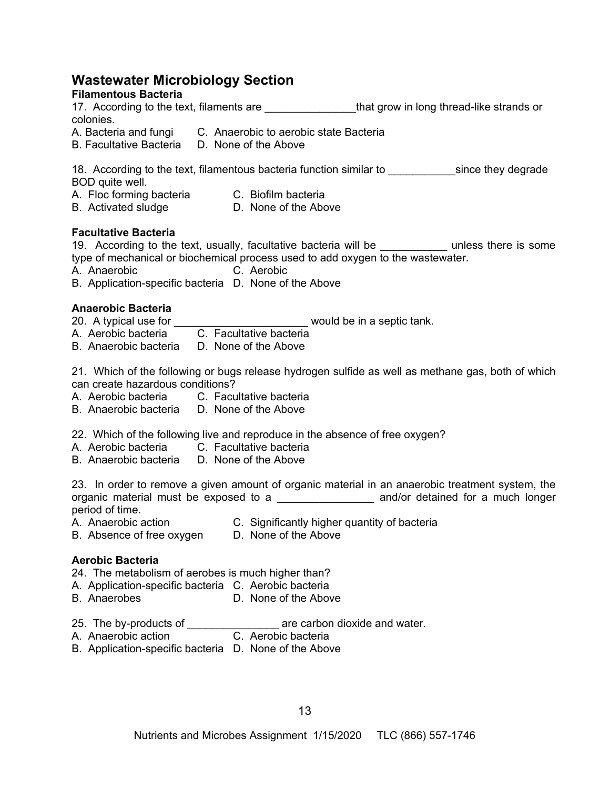# **Wastewater Microbiology Section**

| <b>Filamentous Bacteria</b>                                                                                                                                  |                      |                                                                                                                                                                                               |  |
|--------------------------------------------------------------------------------------------------------------------------------------------------------------|----------------------|-----------------------------------------------------------------------------------------------------------------------------------------------------------------------------------------------|--|
|                                                                                                                                                              |                      | 17. According to the text, filaments are ________________that grow in long thread-like strands or                                                                                             |  |
| colonies.                                                                                                                                                    |                      |                                                                                                                                                                                               |  |
| A. Bacteria and fungi C. Anaerobic to aerobic state Bacteria                                                                                                 |                      |                                                                                                                                                                                               |  |
| B. Facultative Bacteria D. None of the Above                                                                                                                 |                      |                                                                                                                                                                                               |  |
| BOD quite well.<br>A. Floc forming bacteria C. Biofilm bacteria                                                                                              |                      | 18. According to the text, filamentous bacteria function similar to ____________since they degrade                                                                                            |  |
| B. Activated sludge D. None of the Above                                                                                                                     |                      |                                                                                                                                                                                               |  |
|                                                                                                                                                              |                      |                                                                                                                                                                                               |  |
| <b>Facultative Bacteria</b><br>A. Anaerobic C. Aerobic<br>B. Application-specific bacteria D. None of the Above                                              |                      | 19. According to the text, usually, facultative bacteria will be ___________ unless there is some<br>type of mechanical or biochemical process used to add oxygen to the wastewater.          |  |
| <b>Anaerobic Bacteria</b>                                                                                                                                    |                      |                                                                                                                                                                                               |  |
|                                                                                                                                                              |                      | 20. A typical use for $\frac{1}{\sqrt{1-\frac{1}{n}}}$ would be in a septic tank.<br>A. Aerobic bacteria C. Facultative bacteria                                                              |  |
|                                                                                                                                                              |                      |                                                                                                                                                                                               |  |
| B. Anaerobic bacteria D. None of the Above                                                                                                                   |                      |                                                                                                                                                                                               |  |
| can create hazardous conditions?<br>A. Aerobic bacteria C. Facultative bacteria<br>B. Anaerobic bacteria D. None of the Above                                |                      | 21. Which of the following or bugs release hydrogen sulfide as well as methane gas, both of which                                                                                             |  |
|                                                                                                                                                              |                      | 22. Which of the following live and reproduce in the absence of free oxygen?                                                                                                                  |  |
| A. Aerobic bacteria C. Facultative bacteria                                                                                                                  |                      |                                                                                                                                                                                               |  |
| B. Anaerobic bacteria D. None of the Above                                                                                                                   |                      |                                                                                                                                                                                               |  |
| period of time.                                                                                                                                              |                      | 23. In order to remove a given amount of organic material in an anaerobic treatment system, the<br>organic material must be exposed to a __________________ and/or detained for a much longer |  |
| A. Anaerobic action                                                                                                                                          |                      | C. Significantly higher quantity of bacteria                                                                                                                                                  |  |
| B. Absence of free oxygen                                                                                                                                    | D. None of the Above |                                                                                                                                                                                               |  |
| <b>Aerobic Bacteria</b><br>24. The metabolism of aerobes is much higher than?<br>A. Application-specific bacteria C. Aerobic bacteria<br><b>B.</b> Anaerobes | D. None of the Above |                                                                                                                                                                                               |  |
|                                                                                                                                                              |                      | 25. The by-products of $\frac{\cdot}{\cdot}$ are carbon dioxide and water.                                                                                                                    |  |
|                                                                                                                                                              |                      |                                                                                                                                                                                               |  |

A. Anaerobic action C. Aerobic bacteria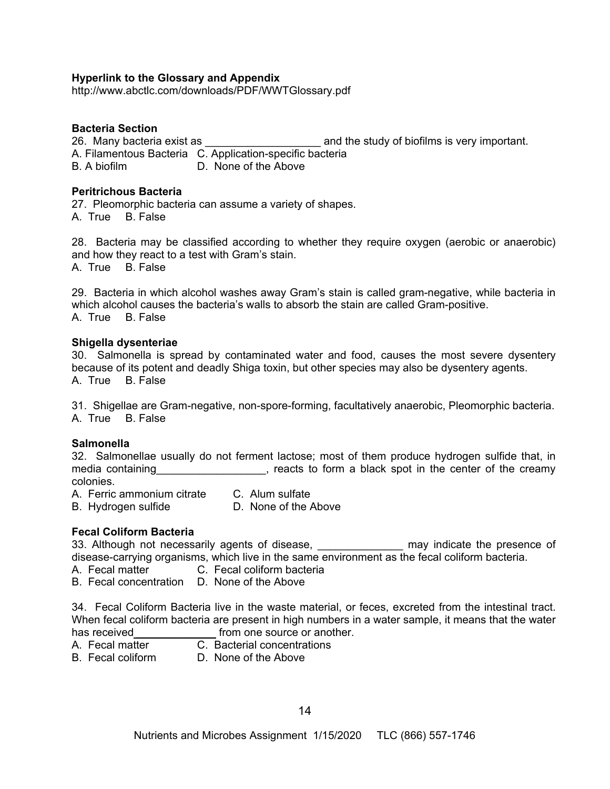## **Hyperlink to the Glossary and Appendix**

<http://www.abctlc.com/downloads/PDF/WWTGlossary.pdf>

#### **Bacteria Section**

26. Many bacteria exist as \_\_\_\_\_\_\_\_\_\_\_\_\_\_\_\_\_\_\_ and the study of biofilms is very important. A. Filamentous Bacteria C. Application-specific bacteria B. A biofilm D. None of the Above

#### **Peritrichous Bacteria**

27. Pleomorphic bacteria can assume a variety of shapes. A. True B. False

28. Bacteria may be classified according to whether they require oxygen (aerobic or anaerobic) and how they react to a test with Gram's stain. A. True B. False

29. Bacteria in which alcohol washes away Gram's stain is called gram-negative, while bacteria in which alcohol causes the bacteria's walls to absorb the stain are called Gram-positive. A. True B. False

#### **Shigella dysenteriae**

30. Salmonella is spread by contaminated water and food, causes the most severe dysentery because of its potent and deadly Shiga toxin, but other species may also be dysentery agents. A. True B. False

31. Shigellae are Gram-negative, non-spore-forming, facultatively anaerobic, Pleomorphic bacteria. A. True B. False

#### **Salmonella**

32. Salmonellae usually do not ferment lactose; most of them produce hydrogen sulfide that, in media containing Theorem 2011 Theorem 2015 Sepondic spot in the center of the creamy colonies.

A. Ferric ammonium citrate C. Alum sulfate

B. Hydrogen sulfide D. None of the Above

#### **Fecal Coliform Bacteria**

33. Although not necessarily agents of disease, **with the manual may indicate the presence of** disease-carrying organisms, which live in the same environment as the fecal coliform bacteria.

A. Fecal matter C. Fecal coliform bacteria

B. Fecal concentration D. None of the Above

34. Fecal Coliform Bacteria live in the waste material, or feces, excreted from the intestinal tract. When fecal coliform bacteria are present in high numbers in a water sample, it means that the water has received extended the source or another.

- A. Fecal matter C. Bacterial concentrations
- B. Fecal coliform D. None of the Above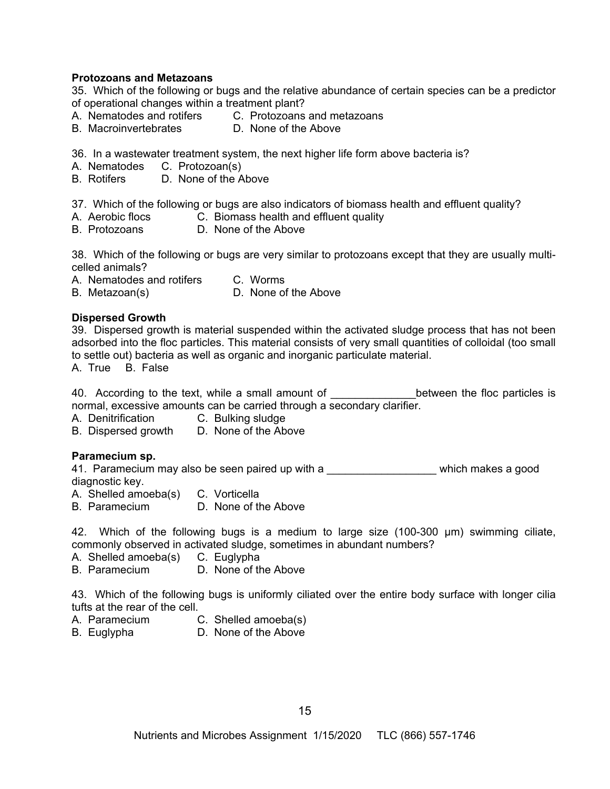## **Protozoans and Metazoans**

35. Which of the following or bugs and the relative abundance of certain species can be a predictor of operational changes within a treatment plant?

- A. Nematodes and rotifers C. Protozoans and metazoans<br>B. Macroinvertebrates D. None of the Above
- B. Macroinvertebrates

36. In a wastewater treatment system, the next higher life form above bacteria is?

- A. Nematodes C. Protozoan(s)
- B. Rotifers D. None of the Above

37. Which of the following or bugs are also indicators of biomass health and effluent quality?

- A. Aerobic flocs C. Biomass health and effluent quality
- B. Protozoans D. None of the Above

38. Which of the following or bugs are very similar to protozoans except that they are usually multicelled animals?

- A. Nematodes and rotifers C. Worms
- B. Metazoan(s) D. None of the Above

## **Dispersed Growth**

39. Dispersed growth is material suspended within the activated sludge process that has not been adsorbed into the floc particles. This material consists of very small quantities of colloidal (too small to settle out) bacteria as well as organic and inorganic particulate material.

A. True B. False

40. According to the text, while a small amount of Theorem is between the floc particles is normal, excessive amounts can be carried through a secondary clarifier.

- A. Denitrification C. Bulking sludge
- B. Dispersed growth D. None of the Above

#### **Paramecium sp.**

41. Paramecium may also be seen paired up with a **which makes a good** diagnostic key.

A. Shelled amoeba(s) C. Vorticella<br>B. Paramecium D. None of the Above B. Paramecium

42. Which of the following bugs is a medium to large size (100-300 μm) swimming ciliate, commonly observed in activated sludge, sometimes in abundant numbers?

- A. Shelled amoeba(s) C. Euglypha
- B. Paramecium D. None of the Above

43. Which of the following bugs is uniformly ciliated over the entire body surface with longer cilia tufts at the rear of the cell.

- A. Paramecium C. Shelled amoeba(s)
- B. Euglypha D. None of the Above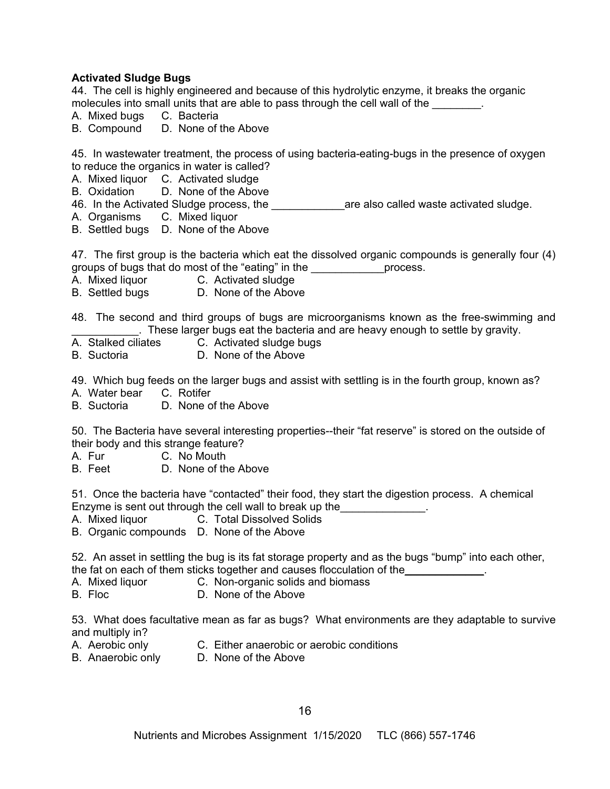## **Activated Sludge Bugs**

44. The cell is highly engineered and because of this hydrolytic enzyme, it breaks the organic molecules into small units that are able to pass through the cell wall of the **weakler**.

- A. Mixed bugs C. Bacteria
- B. Compound D. None of the Above

45. In wastewater treatment, the process of using bacteria-eating-bugs in the presence of oxygen to reduce the organics in water is called?

- A. Mixed liquor C. Activated sludge
- B. Oxidation D. None of the Above

46. In the Activated Sludge process, the \_\_\_\_\_\_\_\_\_\_\_\_are also called waste activated sludge.

- A. Organisms C. Mixed liquor
- B. Settled bugs D. None of the Above

47. The first group is the bacteria which eat the dissolved organic compounds is generally four (4) groups of bugs that do most of the "eating" in the **constant of bugger** process.

- A. Mixed liquor C. Activated sludge
- B. Settled bugs **D. None of the Above**

48. The second and third groups of bugs are microorganisms known as the free-swimming and . These larger bugs eat the bacteria and are heavy enough to settle by gravity.

- A. Stalked ciliates C. Activated sludge bugs
- B. Suctoria D. None of the Above

49. Which bug feeds on the larger bugs and assist with settling is in the fourth group, known as?

- A. Water bear C. Rotifer
- B. Suctoria D. None of the Above

50. The Bacteria have several interesting properties--their "fat reserve" is stored on the outside of their body and this strange feature?

- A. Fur C. No Mouth<br>B. Feet D. None of th
- D. None of the Above

51. Once the bacteria have "contacted" their food, they start the digestion process. A chemical Enzyme is sent out through the cell wall to break up the  $\blacksquare$ 

- A. Mixed liquor C. Total Dissolved Solids
- B. Organic compounds D. None of the Above

52. An asset in settling the bug is its fat storage property and as the bugs "bump" into each other, the fat on each of them sticks together and causes flocculation of the **with the case of the**.

- A. Mixed liquor C. Non-organic solids and biomass
- B. Floc D. None of the Above

53. What does facultative mean as far as bugs? What environments are they adaptable to survive and multiply in?

- 
- A. Aerobic only **C.** Either anaerobic or aerobic conditions
- B. Anaerobic only D. None of the Above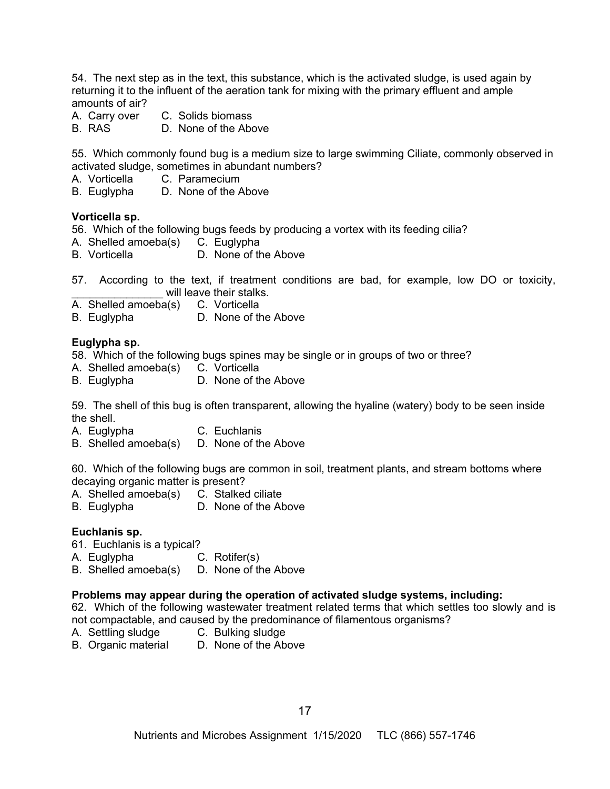54. The next step as in the text, this substance, which is the activated sludge, is used again by returning it to the influent of the aeration tank for mixing with the primary effluent and ample amounts of air?

- A. Carry over C. Solids biomass
- B. RAS D. None of the Above

55. Which commonly found bug is a medium size to large swimming Ciliate, commonly observed in activated sludge, sometimes in abundant numbers?

- A. Vorticella C. Paramecium
- B. Euglypha D. None of the Above

## **Vorticella sp.**

56. Which of the following bugs feeds by producing a vortex with its feeding cilia?

- A. Shelled amoeba(s) C. Euglypha
- B. Vorticella D. None of the Above
- 57. According to the text, if treatment conditions are bad, for example, low DO or toxicity, will leave their stalks.
- A. Shelled amoeba(s) C. Vorticella
- B. Euglypha D. None of the Above

## **Euglypha sp.**

58. Which of the following bugs spines may be single or in groups of two or three?

- A. Shelled amoeba(s) C. Vorticella
- B. Euglypha D. None of the Above

59. The shell of this bug is often transparent, allowing the hyaline (watery) body to be seen inside the shell.

- A. Euglypha C. Euchlanis
- B. Shelled amoeba(s) D. None of the Above

60. Which of the following bugs are common in soil, treatment plants, and stream bottoms where decaying organic matter is present?

- A. Shelled amoeba(s) C. Stalked ciliate
- B. Euglypha D. None of the Above

#### **Euchlanis sp.**

- 61. Euchlanis is a typical?
- A. Euglypha C. Rotifer(s)
- B. Shelled amoeba(s) D. None of the Above

#### **Problems may appear during the operation of activated sludge systems, including:**

62. Which of the following wastewater treatment related terms that which settles too slowly and is not compactable, and caused by the predominance of filamentous organisms?

- A. Settling sludge C. Bulking sludge
- B. Organic material D. None of the Above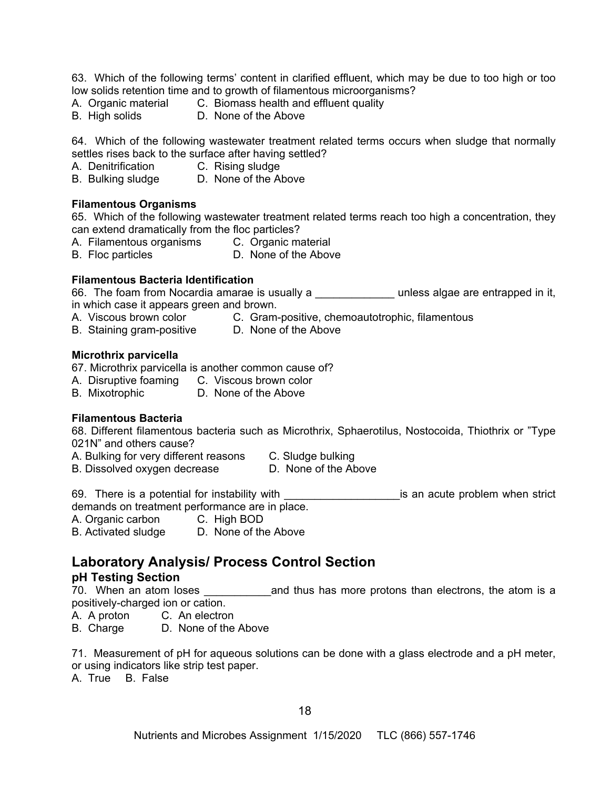63. Which of the following terms' content in clarified effluent, which may be due to too high or too low solids retention time and to growth of filamentous microorganisms?

- A. Organic material C. Biomass health and effluent quality
- 
- B. High solids D. None of the Above

64. Which of the following wastewater treatment related terms occurs when sludge that normally settles rises back to the surface after having settled?

- A. Denitrification C. Rising sludge
- B. Bulking sludge D. None of the Above

## **Filamentous Organisms**

65. Which of the following wastewater treatment related terms reach too high a concentration, they can extend dramatically from the floc particles?

- A. Filamentous organisms C. Organic material
- B. Floc particles D. None of the Above

## **Filamentous Bacteria Identification**

66. The foam from Nocardia amarae is usually a **Example 10** unless algae are entrapped in it, in which case it appears green and brown.

- A. Viscous brown color C. Gram-positive, chemoautotrophic, filamentous
- B. Staining gram-positive D. None of the Above

## **Microthrix parvicella**

- 67. Microthrix parvicella is another common cause of?
- A. Disruptive foaming C. Viscous brown color
- B. Mixotrophic D. None of the Above

## **Filamentous Bacteria**

68. Different filamentous bacteria such as Microthrix, Sphaerotilus, Nostocoida, Thiothrix or "Type 021N" and others cause?

A. Bulking for very different reasons C. Sludge bulking

B. Dissolved oxygen decrease **D. None of the Above** 

69. There is a potential for instability with \_\_\_\_\_\_\_\_\_\_\_\_\_\_\_\_\_\_\_\_\_\_\_\_\_is an acute problem when strict demands on treatment performance are in place.

A. Organic carbon C. High BOD

B. Activated sludge D. None of the Above

## **Laboratory Analysis/ Process Control Section**

## **pH Testing Section**

70. When an atom loses Theorem and thus has more protons than electrons, the atom is a positively-charged ion or cation.

A. A proton C. An electron

B. Charge D. None of the Above

71. Measurement of pH for aqueous solutions can be done with a glass electrode and a pH meter, or using indicators like strip test paper.

A. True B. False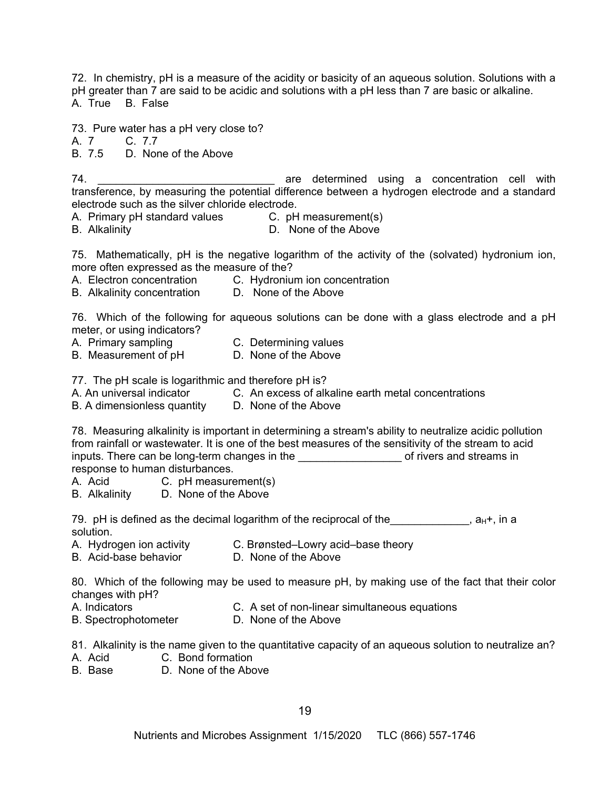72. In chemistry, pH is a measure of the acidity or basicity of an aqueous solution. Solutions with a pH greater than 7 are said to be acidic and solutions with a pH less than 7 are basic or alkaline. A. True B. False

73. Pure water has a pH very close to?

A. 7 C. 7.7

B. 7.5 D. None of the Above

74. **The same state of the same determined** using a concentration cell with transference, by measuring the potential difference between a hydrogen electrode and a standard electrode such as the silver chloride electrode.

- A. Primary pH standard values C. pH measurement(s)
- B. Alkalinity D. None of the Above

75. Mathematically, pH is the negative logarithm of the activity of the (solvated) hydronium ion, more often expressed as the measure of the?

- A. Electron concentration C. Hydronium ion concentration
- B. Alkalinity concentration D. None of the Above

76. Which of the following for aqueous solutions can be done with a glass electrode and a pH meter, or using indicators?

- A. Primary sampling C. Determining values
	-
- B. Measurement of pH D. None of the Above

77. The pH scale is logarithmic and therefore pH is?

- A. An universal indicator C. An excess of alkaline earth metal concentrations<br>B. A dimensionless quantity D. None of the Above
- B. A dimensionless quantity

78. Measuring alkalinity is important in determining a stream's ability to neutralize acidic pollution from rainfall or wastewater. It is one of the best measures of the sensitivity of the stream to acid inputs. There can be long-term changes in the **constrain the standing of rivers and streams in** response to human disturbances.

A. Acid C. pH measurement(s)

B. Alkalinity D. None of the Above

79. pH is defined as the decimal logarithm of the reciprocal of the  $\mathbf{a}_{H^+}$ , in a solution.

- A. Hydrogen ion activity C. Brønsted–Lowry acid–base theory
- B. Acid-base behavior **D. None of the Above**

80. Which of the following may be used to measure pH, by making use of the fact that their color changes with pH?

- A. Indicators C. A set of non-linear simultaneous equations
- B. SpectrophotometerD. None of the Above
- 81. Alkalinity is the name given to the quantitative capacity of an aqueous solution to neutralize an?
- A. Acid C. Bond formation
- B. Base D. None of the Above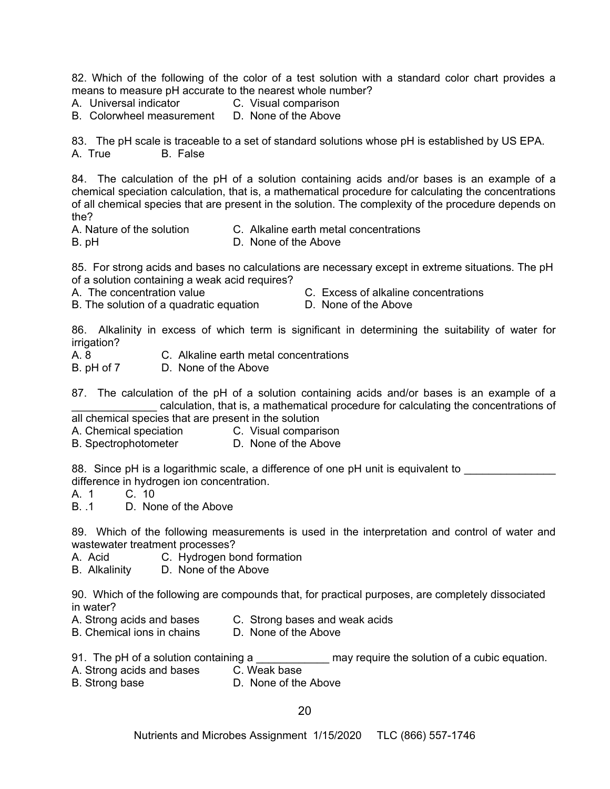82. Which of the following of the color of a test solution with a standard color chart provides a means to measure pH accurate to the nearest whole number?

- A. Universal indicator C. Visual comparison
- B. Colorwheel measurement D. None of the Above

83. The pH scale is traceable to a set of standard solutions whose pH is established by US EPA. A. True B. False

84. The calculation of the pH of a solution containing acids and/or bases is an example of a chemical speciation calculation, that is, a mathematical procedure for calculating the concentrations of all chemical species that are present in the solution. The complexity of the procedure depends on the?

- A. Nature of the solution C. Alkaline earth metal concentrations
- B. pHD. None of the Above

85. For strong acids and bases no calculations are necessary except in extreme situations. The pH of a solution containing a weak acid requires?

- A. The concentration value C. Excess of alkaline concentrations
	-
- B. The solution of a quadratic equationD. None of the Above
	-

86. Alkalinity in excess of which term is significant in determining the suitability of water for irrigation?

A. 8 C. Alkaline earth metal concentrations

B. pH of 7D. None of the Above

87. The calculation of the pH of a solution containing acids and/or bases is an example of a calculation, that is, a mathematical procedure for calculating the concentrations of

all chemical species that are present in the solution

- A. Chemical speciation C. Visual comparison
- B. Spectrophotometer D. None of the Above

88. Since pH is a logarithmic scale, a difference of one pH unit is equivalent to \_\_\_\_\_\_\_\_\_\_\_\_\_\_\_\_\_ difference in hydrogen ion concentration.<br>A. 1 C. 10

- $C. 10$
- B. .1 D. None of the Above

89. Which of the following measurements is used in the interpretation and control of water and wastewater treatment processes?

A. Acid C. Hydrogen bond formation

B. Alkalinity D. None of the Above

90. Which of the following are compounds that, for practical purposes, are completely dissociated in water?

- A. Strong acids and bases C. Strong bases and weak acids
- B. Chemical ions in chains D. None of the Above

91. The pH of a solution containing a \_\_\_\_\_\_\_\_\_\_\_\_ may require the solution of a cubic equation.

- A. Strong acids and bases C. Weak base
- B. Strong base D. None of the Above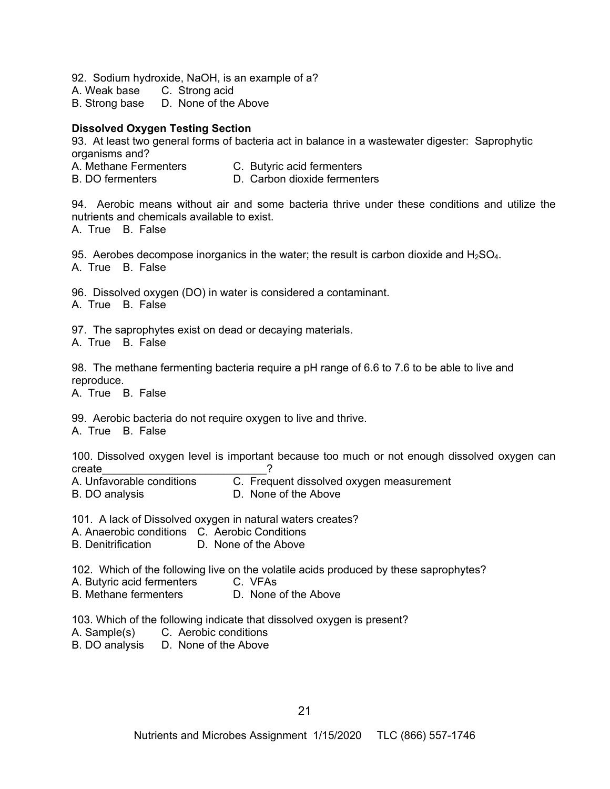92. Sodium hydroxide, NaOH, is an example of a?

A. Weak base C. Strong acid

B. Strong base D. None of the Above

## **Dissolved Oxygen Testing Section**

93. At least two general forms of bacteria act in balance in a wastewater digester: Saprophytic organisms and?

- A. Methane Fermenters C. Butyric acid fermenters
- B. DO fermenters D. Carbon dioxide fermenters

94. Aerobic means without air and some bacteria thrive under these conditions and utilize the nutrients and chemicals available to exist.

A. True B. False

95. Aerobes decompose inorganics in the water; the result is carbon dioxide and  $H_2SO_4$ .

A. True B. False

96. Dissolved oxygen (DO) in water is considered a contaminant.

A. True B. False

97. The saprophytes exist on dead or decaying materials.

A. True B. False

98. The methane fermenting bacteria require a pH range of 6.6 to 7.6 to be able to live and reproduce.

A. True B. False

99. Aerobic bacteria do not require oxygen to live and thrive.

A. True B. False

100. Dissolved oxygen level is important because too much or not enough dissolved oxygen can create  $\sim$  2

A. Unfavorable conditions C. Frequent dissolved oxygen measurement B. DO analysis D. None of the Above

101. A lack of Dissolved oxygen in natural waters creates?

A. Anaerobic conditions C. Aerobic Conditions

B. Denitrification D. None of the Above

102. Which of the following live on the volatile acids produced by these saprophytes?

A. Butyric acid fermenters C. VFAs

B. Methane fermenters D. None of the Above

103. Which of the following indicate that dissolved oxygen is present?

- A. Sample(s) C. Aerobic conditions
- B. DO analysis D. None of the Above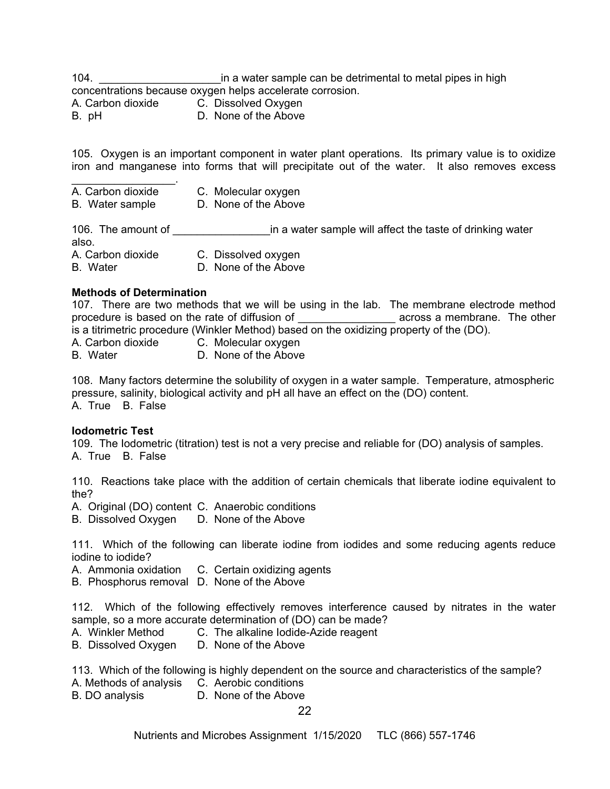104. \_\_\_\_\_\_\_\_\_\_\_\_\_\_\_\_\_\_\_\_in a water sample can be detrimental to metal pipes in high concentrations because oxygen helps accelerate corrosion. A. Carbon dioxide C. Dissolved Oxygen

B. pH D. None of the Above

105. Oxygen is an important component in water plant operations. Its primary value is to oxidize iron and manganese into forms that will precipitate out of the water. It also removes excess

 $\mathcal{L}_\text{max}$  . The set of the set of the set of the set of the set of the set of the set of the set of the set of the set of the set of the set of the set of the set of the set of the set of the set of the set of the set A. Carbon dioxide C. Molecular oxygen B. Water sample D. None of the Above 106. The amount of **the in a water sample will affect the taste of drinking water** also. A. Carbon dioxide C. Dissolved oxygen B. Water D. None of the Above

## **Methods of Determination**

107. There are two methods that we will be using in the lab. The membrane electrode method procedure is based on the rate of diffusion of The across a membrane. The other is a titrimetric procedure (Winkler Method) based on the oxidizing property of the (DO).

A. Carbon dioxide C. Molecular oxygen

B. Water D. None of the Above

108. Many factors determine the solubility of oxygen in a water sample. Temperature, atmospheric pressure, salinity, biological activity and pH all have an effect on the (DO) content. A. True B. False

## **Iodometric Test**

109. The Iodometric (titration) test is not a very precise and reliable for (DO) analysis of samples. A. True B. False

110. Reactions take place with the addition of certain chemicals that liberate iodine equivalent to the?

A. Original (DO) content C. Anaerobic conditions

B. Dissolved Oxygen D. None of the Above

111. Which of the following can liberate iodine from iodides and some reducing agents reduce iodine to iodide?

A. Ammonia oxidation C. Certain oxidizing agents

B. Phosphorus removal D. None of the Above

112. Which of the following effectively removes interference caused by nitrates in the water sample, so a more accurate determination of (DO) can be made?

A. Winkler Method C. The alkaline Iodide-Azide reagent

B. Dissolved Oxygen D. None of the Above

113. Which of the following is highly dependent on the source and characteristics of the sample?

A. Methods of analysis C. Aerobic conditions

B. DO analysis D. None of the Above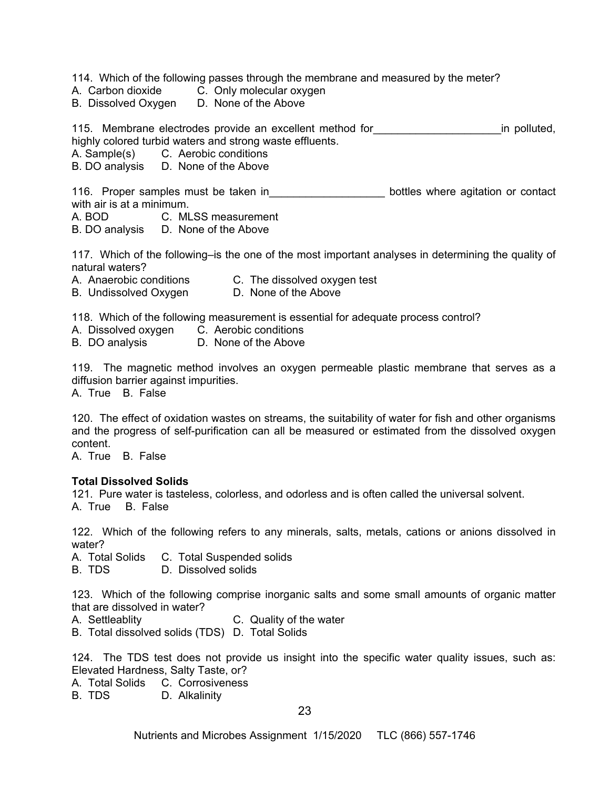114. Which of the following passes through the membrane and measured by the meter?

- A. Carbon dioxide C. Only molecular oxygen
- B. Dissolved Oxygen D. None of the Above

115. Membrane electrodes provide an excellent method for\_\_\_\_\_\_\_\_\_\_\_\_\_\_\_\_\_\_\_\_\_in polluted, highly colored turbid waters and strong waste effluents.

A. Sample(s) C. Aerobic conditions

B. DO analysis D. None of the Above

116. Proper samples must be taken in\_\_\_\_\_\_\_\_\_\_\_\_\_\_\_\_\_\_\_\_\_\_\_ bottles where agitation or contact with air is at a minimum.

A. BOD C. MLSS measurement

B. DO analysis D. None of the Above

117. Which of the following–is the one of the most important analyses in determining the quality of natural waters?

- A. Anaerobic conditions C. The dissolved oxygen test
- B. Undissolved Oxygen D. None of the Above

118. Which of the following measurement is essential for adequate process control?

- A. Dissolved oxygen C. Aerobic conditions
- B. DO analysis D. None of the Above

119. The magnetic method involves an oxygen permeable plastic membrane that serves as a diffusion barrier against impurities.

A. True B. False

120. The effect of oxidation wastes on streams, the suitability of water for fish and other organisms and the progress of self-purification can all be measured or estimated from the dissolved oxygen content.

A. True B. False

#### **Total Dissolved Solids**

121. Pure water is tasteless, colorless, and odorless and is often called the universal solvent. A. True B. False

122. Which of the following refers to any minerals, salts, metals, cations or anions dissolved in water?

A. Total Solids C. Total Suspended solids

B. TDS D. Dissolved solids

123. Which of the following comprise inorganic salts and some small amounts of organic matter that are dissolved in water?

A. Settleablity C. Quality of the water

B. Total dissolved solids (TDS) D. Total Solids

124. The TDS test does not provide us insight into the specific water quality issues, such as: Elevated Hardness, Salty Taste, or?

A. Total Solids C. Corrosiveness

B. TDS D. Alkalinity

Nutrients and Microbes Assignment 1/15/2020 TLC (866) 557-1746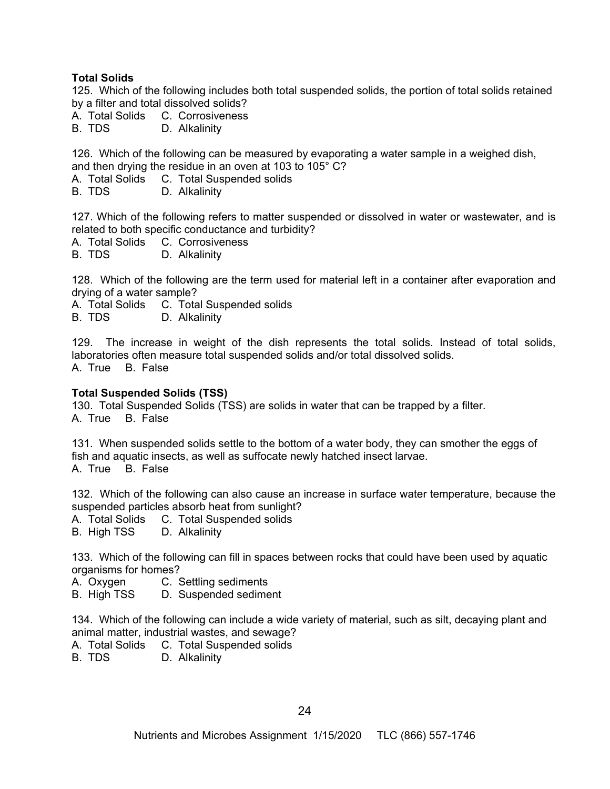## **Total Solids**

125. Which of the following includes both total suspended solids, the portion of total solids retained by a filter and total dissolved solids?

A. Total Solids C. Corrosiveness

B. TDS D. Alkalinity

126. Which of the following can be measured by evaporating a water sample in a weighed dish, and then drying the residue in an oven at 103 to 105° C?

A. Total Solids C. Total Suspended solids<br>B. TDS B. Alkalinity

D. Alkalinity

127. Which of the following refers to matter suspended or dissolved in water or wastewater, and is related to both specific conductance and turbidity?

- A. Total Solids C. Corrosiveness
- B. TDS D. Alkalinity

128. Which of the following are the term used for material left in a container after evaporation and drying of a water sample?

A. Total Solids C. Total Suspended solids

B. TDS D. Alkalinity

129. The increase in weight of the dish represents the total solids. Instead of total solids, laboratories often measure total suspended solids and/or total dissolved solids.

A. True B. False

## **Total Suspended Solids (TSS)**

130. Total Suspended Solids (TSS) are solids in water that can be trapped by a filter. A. True B. False

131. When suspended solids settle to the bottom of a water body, they can smother the eggs of fish and aquatic insects, as well as suffocate newly hatched insect larvae.

A. True B. False

132. Which of the following can also cause an increase in surface water temperature, because the suspended particles absorb heat from sunlight?

A. Total Solids C. Total Suspended solids

B. High TSS D. Alkalinity

133. Which of the following can fill in spaces between rocks that could have been used by aquatic organisms for homes?

A. Oxygen C. Settling sediments

B. High TSS D. Suspended sediment

134. Which of the following can include a wide variety of material, such as silt, decaying plant and animal matter, industrial wastes, and sewage?

- A. Total Solids C. Total Suspended solids
- B. TDS D. Alkalinity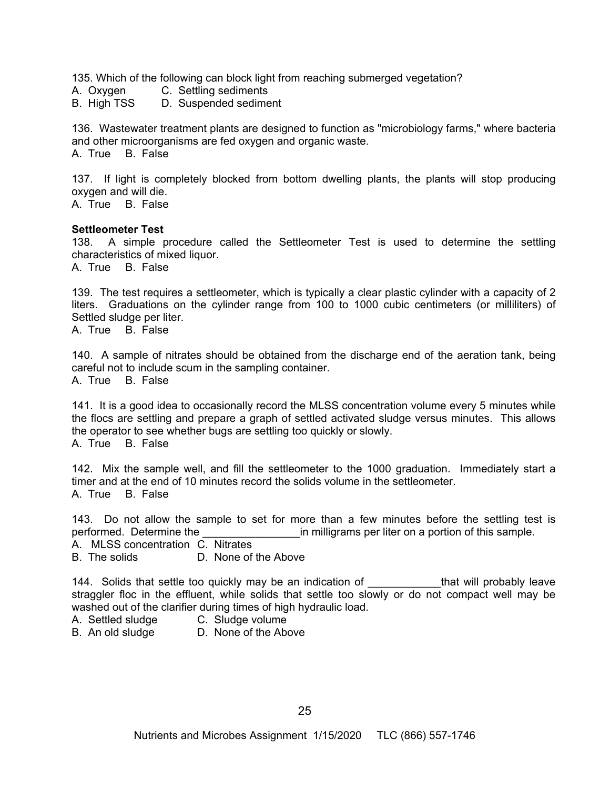135. Which of the following can block light from reaching submerged vegetation?

A. Oxygen C. Settling sediments

B. High TSS D. Suspended sediment

136. Wastewater treatment plants are designed to function as "microbiology farms," where bacteria and other microorganisms are fed oxygen and organic waste. A. True B. False

137. If light is completely blocked from bottom dwelling plants, the plants will stop producing oxygen and will die.

A. True B. False

## **Settleometer Test**

138. A simple procedure called the Settleometer Test is used to determine the settling characteristics of mixed liquor.

A. True B. False

139. The test requires a settleometer, which is typically a clear plastic cylinder with a capacity of 2 liters. Graduations on the cylinder range from 100 to 1000 cubic centimeters (or milliliters) of Settled sludge per liter.

A. True B. False

140. A sample of nitrates should be obtained from the discharge end of the aeration tank, being careful not to include scum in the sampling container. A. True B. False

141. It is a good idea to occasionally record the MLSS concentration volume every 5 minutes while the flocs are settling and prepare a graph of settled activated sludge versus minutes. This allows the operator to see whether bugs are settling too quickly or slowly. A. True B. False

142. Mix the sample well, and fill the settleometer to the 1000 graduation. Immediately start a timer and at the end of 10 minutes record the solids volume in the settleometer. A. True B. False

143. Do not allow the sample to set for more than a few minutes before the settling test is performed. Determine the **the contact of the sample** in milligrams per liter on a portion of this sample.

A. MLSS concentration C. Nitrates

B. The solids **D. None of the Above** 

144. Solids that settle too quickly may be an indication of the state will probably leave straggler floc in the effluent, while solids that settle too slowly or do not compact well may be washed out of the clarifier during times of high hydraulic load.

A. Settled sludge C. Sludge volume

B. An old sludge D. None of the Above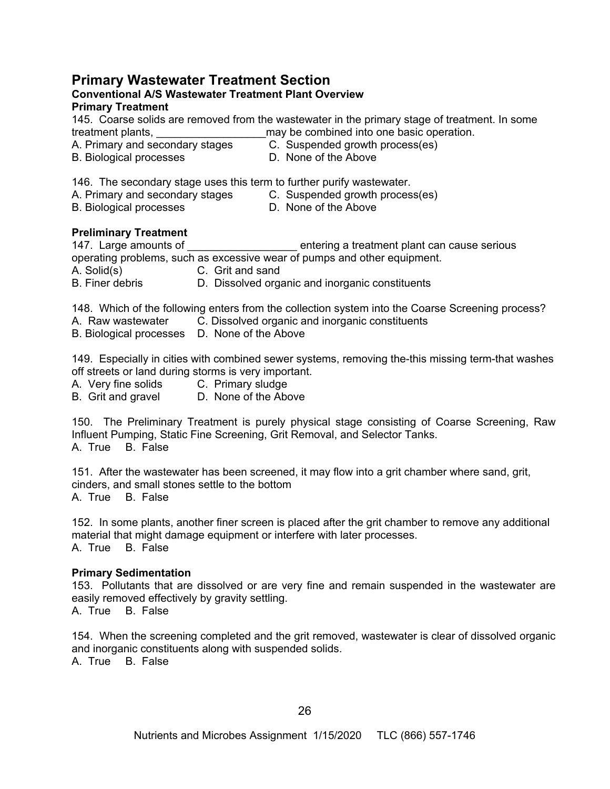## **Primary Wastewater Treatment Section**

## **Conventional A/S Wastewater Treatment Plant Overview**

## **Primary Treatment**

145. Coarse solids are removed from the wastewater in the primary stage of treatment. In some treatment plants, **Example 2** and the combined into one basic operation.

- A. Primary and secondary stages C. Suspended growth process(es)
- B. Biological processes D. None of the Above

146. The secondary stage uses this term to further purify wastewater.

- A. Primary and secondary stages C. Suspended growth process(es)
- B. Biological processes D. None of the Above
- 

## **Preliminary Treatment**

147. Large amounts of the state of the serious entering a treatment plant can cause serious

- operating problems, such as excessive wear of pumps and other equipment.
- A. Solid(s) C. Grit and sand
- B. Finer debris **D.** Dissolved organic and inorganic constituents

148. Which of the following enters from the collection system into the Coarse Screening process?

A. Raw wastewater C. Dissolved organic and inorganic constituents

B. Biological processes D. None of the Above

149. Especially in cities with combined sewer systems, removing the-this missing term-that washes off streets or land during storms is very important.

- A. Very fine solids C. Primary sludge
- B. Grit and gravel D. None of the Above

150. The Preliminary Treatment is purely physical stage consisting of Coarse Screening, Raw Influent Pumping, Static Fine Screening, Grit Removal, and Selector Tanks. A. True B. False

151. After the wastewater has been screened, it may flow into a grit chamber where sand, grit, cinders, and small stones settle to the bottom A. True B. False

152. In some plants, another finer screen is placed after the grit chamber to remove any additional material that might damage equipment or interfere with later processes. A. True B. False

## **Primary Sedimentation**

153. Pollutants that are dissolved or are very fine and remain suspended in the wastewater are easily removed effectively by gravity settling.

A. True B. False

154. When the screening completed and the grit removed, wastewater is clear of dissolved organic and inorganic constituents along with suspended solids.

A. True B. False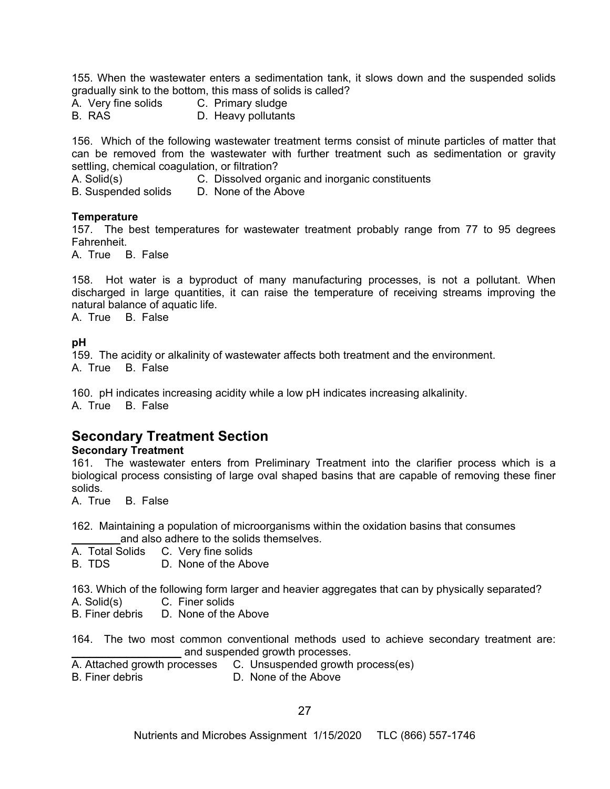155. When the wastewater enters a sedimentation tank, it slows down and the suspended solids gradually sink to the bottom, this mass of solids is called?

A. Very fine solids C. Primary sludge<br>
B. RAS C. Heavy pollutant

D. Heavy pollutants

156. Which of the following wastewater treatment terms consist of minute particles of matter that can be removed from the wastewater with further treatment such as sedimentation or gravity settling, chemical coagulation, or filtration?

A. Solid(s) C. Dissolved organic and inorganic constituents

B. Suspended solids D. None of the Above

## **Temperature**

157. The best temperatures for wastewater treatment probably range from 77 to 95 degrees Fahrenheit.

A. True B. False

158. Hot water is a byproduct of many manufacturing processes, is not a pollutant. When discharged in large quantities, it can raise the temperature of receiving streams improving the natural balance of aquatic life.

A. True B. False

## **pH**

159. The acidity or alkalinity of wastewater affects both treatment and the environment.

A. True B. False

160. pH indicates increasing acidity while a low pH indicates increasing alkalinity. A. True B. False

## **Secondary Treatment Section**

## **Secondary Treatment**

161. The wastewater enters from Preliminary Treatment into the clarifier process which is a biological process consisting of large oval shaped basins that are capable of removing these finer solids.

A. True B. False

162. Maintaining a population of microorganisms within the oxidation basins that consumes and also adhere to the solids themselves.

A. Total Solids C. Very fine solids

B. TDS D. None of the Above

163. Which of the following form larger and heavier aggregates that can by physically separated?

A. Solid(s) C. Finer solids

B. Finer debris D. None of the Above

164. The two most common conventional methods used to achieve secondary treatment are: and suspended growth processes.

A. Attached growth processes C. Unsuspended growth process(es)

B. Finer debris **D. None of the Above**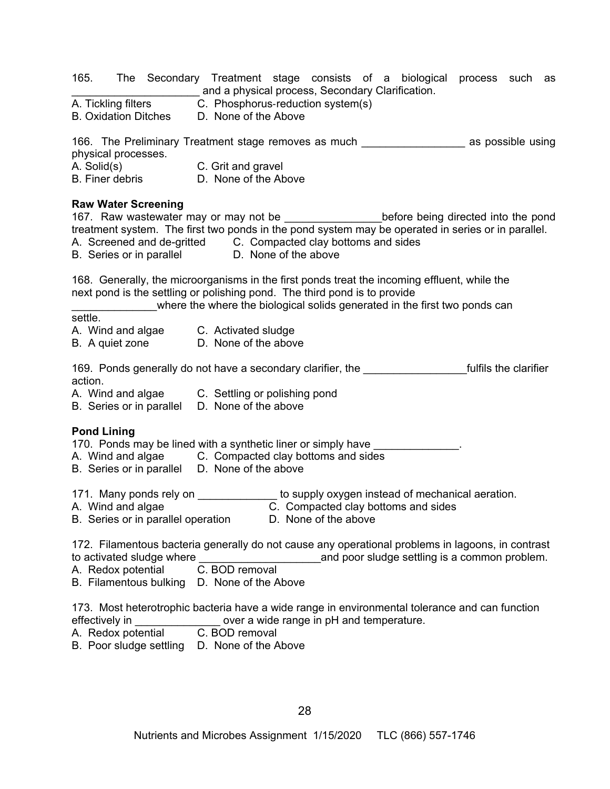| 165.<br>The Secondary Treatment stage consists of a biological process such as<br>and a physical process, Secondary Clarification.<br>A. Tickling filters<br>C. Phosphorus-reduction system(s)<br>D. None of the Above<br><b>B. Oxidation Ditches</b>                                                                                             |
|---------------------------------------------------------------------------------------------------------------------------------------------------------------------------------------------------------------------------------------------------------------------------------------------------------------------------------------------------|
| 166. The Preliminary Treatment stage removes as much _____________________ as possible using<br>physical processes.<br>A. Solid(s)<br>C. Grit and gravel<br><b>B.</b> Finer debris<br>D. None of the Above                                                                                                                                        |
| <b>Raw Water Screening</b><br>167. Raw wastewater may or may not be _________________before being directed into the pond<br>treatment system. The first two ponds in the pond system may be operated in series or in parallel.<br>A. Screened and de-gritted C. Compacted clay bottoms and sides<br>B. Series or in parallel D. None of the above |
| 168. Generally, the microorganisms in the first ponds treat the incoming effluent, while the<br>next pond is the settling or polishing pond. The third pond is to provide<br>where the where the biological solids generated in the first two ponds can                                                                                           |
| settle.<br>A. Wind and algae C. Activated sludge<br>B. A quiet zone<br>D. None of the above                                                                                                                                                                                                                                                       |
| fulfils the clarifier<br>169. Ponds generally do not have a secondary clarifier, the<br>action.<br>A. Wind and algae C. Settling or polishing pond<br>B. Series or in parallel<br>D. None of the above                                                                                                                                            |
| <b>Pond Lining</b><br>170. Ponds may be lined with a synthetic liner or simply have<br>A. Wind and algae C. Compacted clay bottoms and sides<br>B. Series or in parallel D. None of the above                                                                                                                                                     |
| 171. Many ponds rely on __________<br>to supply oxygen instead of mechanical aeration.<br>C. Compacted clay bottoms and sides<br>A. Wind and algae<br>B. Series or in parallel operation<br>D. None of the above                                                                                                                                  |
| 172. Filamentous bacteria generally do not cause any operational problems in lagoons, in contrast<br>to activated sludge where<br>and poor sludge settling is a common problem.<br>C. BOD removal<br>A. Redox potential<br><b>B.</b> Filamentous bulking<br>D. None of the Above                                                                  |
| 173. Most heterotrophic bacteria have a wide range in environmental tolerance and can function<br>over a wide range in pH and temperature.<br>effectively in<br>A. Redox potential<br>C. BOD removal<br>B. Poor sludge settling<br>D. None of the Above                                                                                           |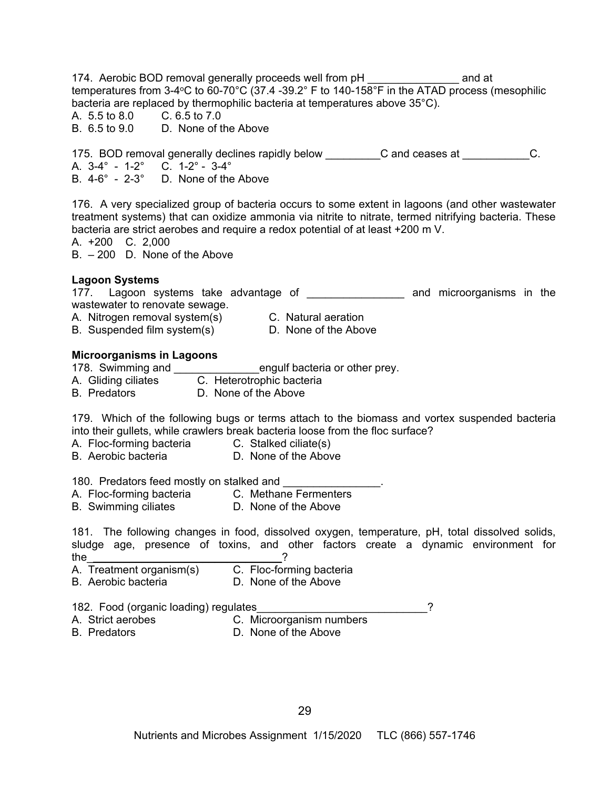174. Aerobic BOD removal generally proceeds well from pH \_\_\_\_\_\_\_\_\_\_\_\_\_\_\_ and at temperatures from  $3-4$ °C to  $60-70$ °C (37.4 -39.2° F to 140-158°F in the ATAD process (mesophilic bacteria are replaced by thermophilic bacteria at temperatures above 35°C).

A. 5.5 to 8.0 C. 6.5 to 7.0

B. 6.5 to 9.0 D. None of the Above

175. BOD removal generally declines rapidly below C and ceases at  $\hbox{C}$ . A. 3-4° - 1-2° C. 1-2° - 3-4°

B. 4-6° - 2-3° D. None of the Above

176. A very specialized group of bacteria occurs to some extent in lagoons (and other wastewater treatment systems) that can oxidize ammonia via nitrite to nitrate, termed nitrifying bacteria. These bacteria are strict aerobes and require a redox potential of at least +200 m V.

A. +200 C. 2,000

B. – 200 D. None of the Above

## **Lagoon Systems**

177. Lagoon systems take advantage of \_\_\_\_\_\_\_\_\_\_\_\_\_\_\_\_ and microorganisms in the wastewater to renovate sewage.

| A. Nitrogen removal system(s) | C. Natural aeration |
|-------------------------------|---------------------|

B. Suspended film system(s) D. None of the Above

## **Microorganisms in Lagoons**

**INICIOUI SUITING IT - SPACE 2018**<br>178. Swimming and <u>Contract Communication</u> engulf bacteria or other prey.

A. Gliding ciliates C. Heterotrophic bacteria

B. Predators D. None of the Above

179. Which of the following bugs or terms attach to the biomass and vortex suspended bacteria into their gullets, while crawlers break bacteria loose from the floc surface?

- A. Floc-forming bacteria C. Stalked ciliate(s)
- B. Aerobic bacteria D. None of the Above

180. Predators feed mostly on stalked and

- A. Floc-forming bacteria C. Methane Fermenters
- B. Swimming ciliates D. None of the Above

181. The following changes in food, dissolved oxygen, temperature, pH, total dissolved solids, sludge age, presence of toxins, and other factors create a dynamic environment for the\_\_\_\_\_\_\_\_\_\_\_\_\_\_\_\_\_\_\_\_\_\_\_\_\_\_\_\_\_\_\_\_?

| A. Treatment organism(s) | C. Floc-forming bacteria |
|--------------------------|--------------------------|
| B. Aerobic bacteria      | D. None of the Above     |

182. Food (organic loading) regulates and the state of the state of the state of the state of the state of the state of the state of the state of the state of the state of the state of the state of the state of the state o

| A. Strict aerobes | C. Microorganism numbers                |
|-------------------|-----------------------------------------|
| .                 | $\mathbf{r}$ is the set of $\mathbf{r}$ |

B. Predators **D. None of the Above**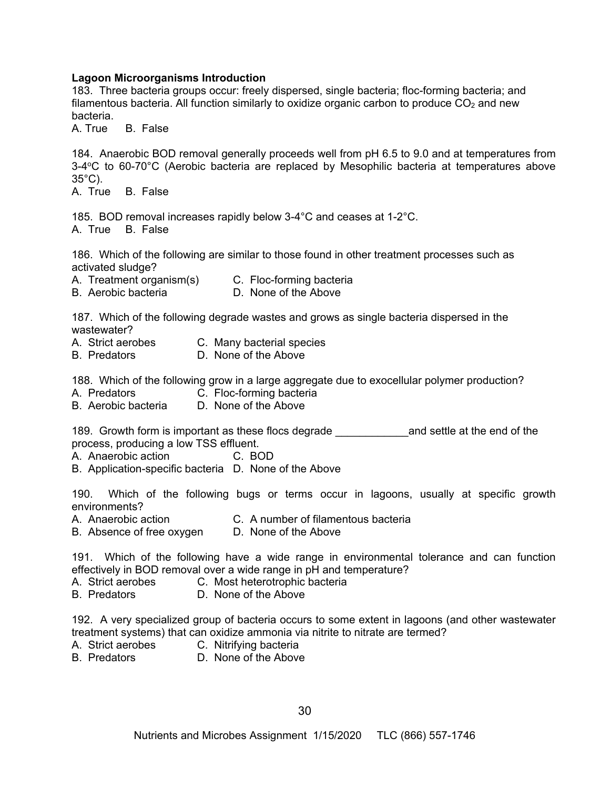#### **Lagoon Microorganisms Introduction**

183. Three bacteria groups occur: freely dispersed, single bacteria; floc-forming bacteria; and filamentous bacteria. All function similarly to oxidize organic carbon to produce  $CO<sub>2</sub>$  and new bacteria.

A. True B. False

184. Anaerobic BOD removal generally proceeds well from pH 6.5 to 9.0 and at temperatures from 3-4°C to 60-70°C (Aerobic bacteria are replaced by Mesophilic bacteria at temperatures above 35°C).

A. True B. False

185. BOD removal increases rapidly below 3-4°C and ceases at 1-2°C. A. True B. False

186. Which of the following are similar to those found in other treatment processes such as activated sludge?

- A. Treatment organism(s) C. Floc-forming bacteria
- B. Aerobic bacteria D. None of the Above

187. Which of the following degrade wastes and grows as single bacteria dispersed in the wastewater?

- A. Strict aerobes C. Many bacterial species
- B. Predators D. None of the Above

188. Which of the following grow in a large aggregate due to exocellular polymer production?

- A. Predators **C. Floc-forming bacteria**<br>B. Aerobic bacteria **D. None of the Above**
- B. Aerobic bacteria

189. Growth form is important as these flocs degrade **the and settle at the end of the** process, producing a low TSS effluent.

A. Anaerobic action C. BOD

B. Application-specific bacteria D. None of the Above

190. Which of the following bugs or terms occur in lagoons, usually at specific growth environments?

- A. Anaerobic action C. A number of filamentous bacteria
- B. Absence of free oxygen D. None of the Above

191. Which of the following have a wide range in environmental tolerance and can function effectively in BOD removal over a wide range in pH and temperature?

- A. Strict aerobes C. Most heterotrophic bacteria
- B. Predators D. None of the Above

192. A very specialized group of bacteria occurs to some extent in lagoons (and other wastewater treatment systems) that can oxidize ammonia via nitrite to nitrate are termed?

- A. Strict aerobes C. Nitrifying bacteria<br>B. Predators C. None of the Above
- D. None of the Above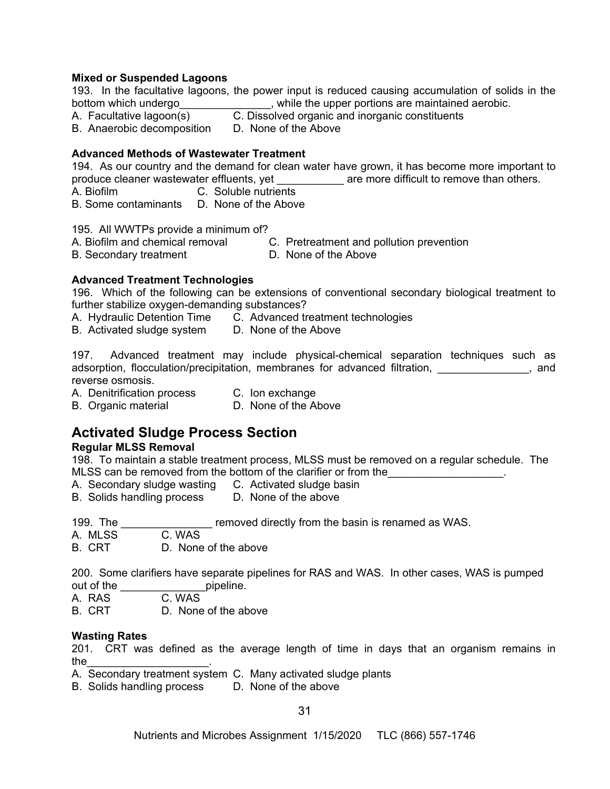## **Mixed or Suspended Lagoons**

193. In the facultative lagoons, the power input is reduced causing accumulation of solids in the bottom which undergo example the upper portions are maintained aerobic.

- A. Facultative lagoon(s) C. Dissolved organic and inorganic constituents
- B. Anaerobic decomposition D. None of the Above

## **Advanced Methods of Wastewater Treatment**

194. As our country and the demand for clean water have grown, it has become more important to produce cleaner wastewater effluents, yet \_\_\_\_\_\_\_\_\_\_\_\_ are more difficult to remove than others. A. Biofilm C. Soluble nutrients

B. Some contaminants D. None of the Above

195. All WWTPs provide a minimum of?

- A. Biofilm and chemical removal C. Pretreatment and pollution prevention
- B. Secondary treatment **D.** None of the Above

## **Advanced Treatment Technologies**

196. Which of the following can be extensions of conventional secondary biological treatment to further stabilize oxygen-demanding substances?

- A. Hydraulic Detention Time C. Advanced treatment technologies
- B. Activated sludge system D. None of the Above

197. Advanced treatment may include physical-chemical separation techniques such as adsorption, flocculation/precipitation, membranes for advanced filtration, **witch and interest and** and reverse osmosis.

A. Denitrification process C. Ion exchange

B. Organic material D. None of the Above

## **Activated Sludge Process Section**

#### **Regular MLSS Removal**

198. To maintain a stable treatment process, MLSS must be removed on a regular schedule. The MLSS can be removed from the bottom of the clarifier or from the

- A. Secondary sludge wasting C. Activated sludge basin
- B. Solids handling process D. None of the above

199. The \_\_\_\_\_\_\_\_\_\_\_\_\_\_\_\_ removed directly from the basin is renamed as WAS.

A. MLSS C. WAS

B. CRT D. None of the above

200. Some clarifiers have separate pipelines for RAS and WAS. In other cases, WAS is pumped out of the \_\_\_\_\_\_\_\_\_\_\_\_\_\_pipeline.

- A. RAS C. WAS
- B. CRT D. None of the above

#### **Wasting Rates**

201. CRT was defined as the average length of time in days that an organism remains in the\_\_\_\_\_\_\_\_\_\_\_\_\_\_\_\_\_\_\_\_.

- A. Secondary treatment system C. Many activated sludge plants
- B. Solids handling process D. None of the above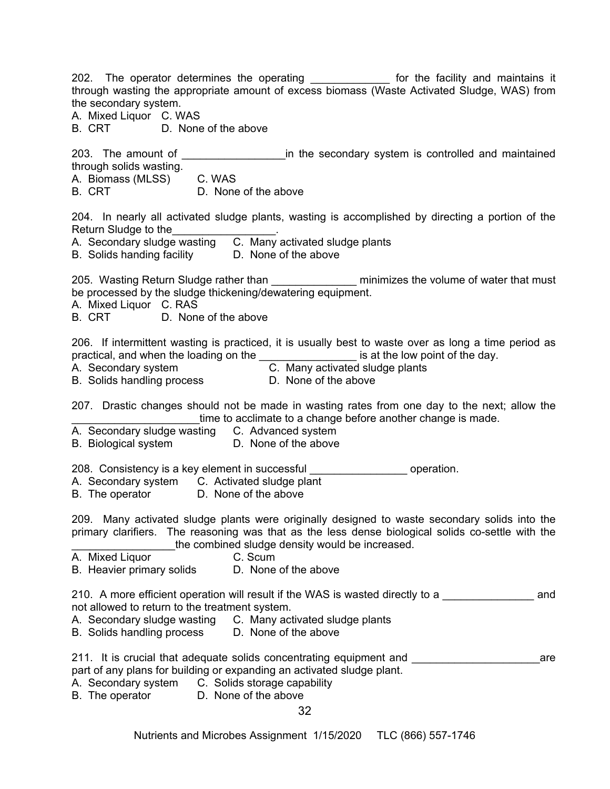32 202. The operator determines the operating \_\_\_\_\_\_\_\_\_\_\_\_\_ for the facility and maintains it through wasting the appropriate amount of excess biomass (Waste Activated Sludge, WAS) from the secondary system. A. Mixed Liquor C. WAS B. CRT D. None of the above 203. The amount of \_\_\_\_\_\_\_\_\_\_\_\_\_\_\_\_\_\_\_\_\_in the secondary system is controlled and maintained through solids wasting. A. Biomass (MLSS) C. WAS B. CRT D. None of the above 204. In nearly all activated sludge plants, wasting is accomplished by directing a portion of the Return Sludge to the A. Secondary sludge wasting C. Many activated sludge plants B. Solids handing facility D. None of the above 205. Wasting Return Sludge rather than **the minimizes** the volume of water that must be processed by the sludge thickening/dewatering equipment. A. Mixed Liquor C. RAS B. CRT D. None of the above 206. If intermittent wasting is practiced, it is usually best to waste over as long a time period as practical, and when the loading on the \_\_\_\_\_\_\_\_\_\_\_\_\_\_\_\_\_\_\_\_\_\_\_ is at the low point of the day. A. Secondary system<br>
B. Solids handling process<br>
D. None of the above B. Solids handling process 207. Drastic changes should not be made in wasting rates from one day to the next; allow the time to acclimate to a change before another change is made. A. Secondary sludge wasting C. Advanced system B. Biological system D. None of the above 208. Consistency is a key element in successful \_\_\_\_\_\_\_\_\_\_\_\_\_\_\_\_\_\_\_\_ operation. A. Secondary system C. Activated sludge plant<br>B. The operator B. None of the above B. The operator 209. Many activated sludge plants were originally designed to waste secondary solids into the primary clarifiers. The reasoning was that as the less dense biological solids co-settle with the the combined sludge density would be increased. A. Mixed Liquor C. Scum B. Heavier primary solids D. None of the above 210. A more efficient operation will result if the WAS is wasted directly to a \_\_\_\_\_\_\_\_\_\_\_\_\_\_\_\_\_\_\_\_\_\_\_\_\_\_\_\_\_\_\_ not allowed to return to the treatment system. A. Secondary sludge wasting C. Many activated sludge plants B. Solids handling process D. None of the above 211. It is crucial that adequate solids concentrating equipment and **Example 211** are part of any plans for building or expanding an activated sludge plant. A. Secondary system C. Solids storage capability B. The operator D. None of the above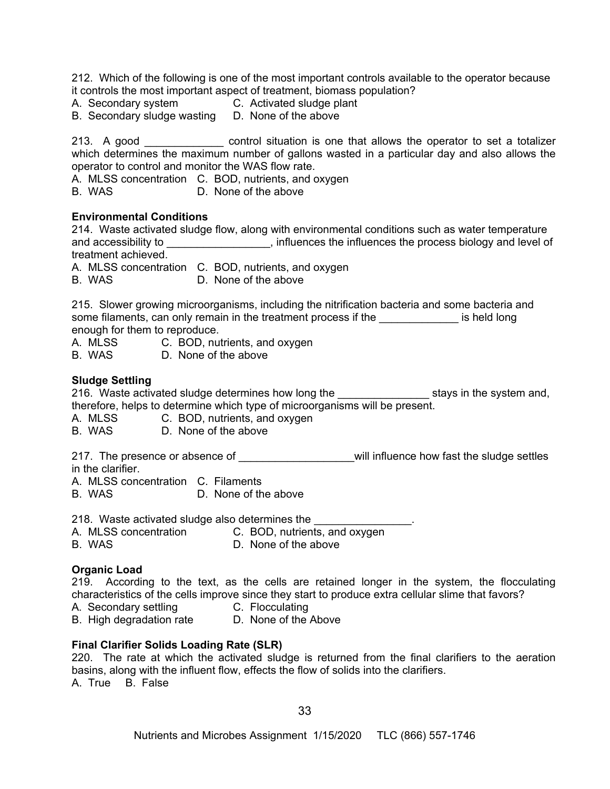212. Which of the following is one of the most important controls available to the operator because it controls the most important aspect of treatment, biomass population?

- A. Secondary system C. Activated sludge plant
- B. Secondary sludge wasting D. None of the above

213. A good \_\_\_\_\_\_\_\_\_\_\_\_\_\_ control situation is one that allows the operator to set a totalizer which determines the maximum number of gallons wasted in a particular day and also allows the operator to control and monitor the WAS flow rate.

A. MLSS concentration C. BOD, nutrients, and oxygen

B. WAS D. None of the above

## **Environmental Conditions**

|                      | 214. Waste activated sludge flow, along with environmental conditions such as water temperature |
|----------------------|-------------------------------------------------------------------------------------------------|
| and accessibility to | , influences the influences the process biology and level of                                    |
| treatment achieved.  |                                                                                                 |

A. MLSS concentration C. BOD, nutrients, and oxygen

B. WAS D. None of the above

215. Slower growing microorganisms, including the nitrification bacteria and some bacteria and some filaments, can only remain in the treatment process if the **Example 20** is held long enough for them to reproduce.

- A. MLSS C. BOD, nutrients, and oxygen
- B. WAS D. None of the above

## **Sludge Settling**

216. Waste activated sludge determines how long the \_\_\_\_\_\_\_\_\_\_\_\_\_\_\_\_\_\_\_\_\_\_\_stays in the system and, therefore, helps to determine which type of microorganisms will be present.

- A. MLSS C. BOD, nutrients, and oxygen
- B. WAS D. None of the above

217. The presence or absence of \_\_\_\_\_\_\_\_\_\_\_\_\_\_\_\_\_\_\_\_\_\_will influence how fast the sludge settles in the clarifier.

A. MLSS concentration C. Filaments

B. WAS D. None of the above

218. Waste activated sludge also determines the

- A. MLSS concentration **C. BOD, nutrients, and oxygen**
- B. WAS D. None of the above

## **Organic Load**

219. According to the text, as the cells are retained longer in the system, the flocculating characteristics of the cells improve since they start to produce extra cellular slime that favors?

A. Secondary settling C. Flocculating

B. High degradation rate D. None of the Above

#### **Final Clarifier Solids Loading Rate (SLR)**

220. The rate at which the activated sludge is returned from the final clarifiers to the aeration basins, along with the influent flow, effects the flow of solids into the clarifiers. A. True B. False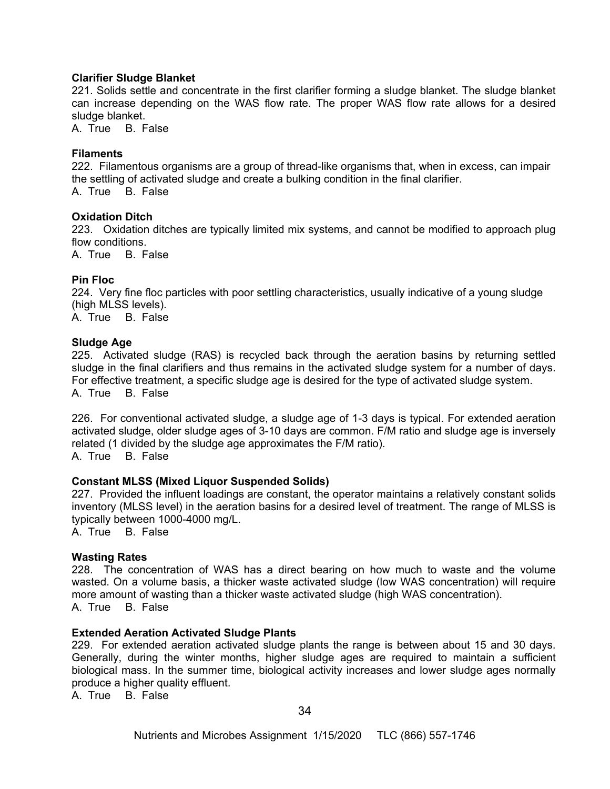## **Clarifier Sludge Blanket**

221. Solids settle and concentrate in the first clarifier forming a sludge blanket. The sludge blanket can increase depending on the WAS flow rate. The proper WAS flow rate allows for a desired sludge blanket.

A. True B. False

## **Filaments**

222. Filamentous organisms are a group of thread-like organisms that, when in excess, can impair the settling of activated sludge and create a bulking condition in the final clarifier. A. True B. False

## **Oxidation Ditch**

223. Oxidation ditches are typically limited mix systems, and cannot be modified to approach plug flow conditions.

A. True B. False

## **Pin Floc**

224. Very fine floc particles with poor settling characteristics, usually indicative of a young sludge (high MLSS levels).

A. True B. False

## **Sludge Age**

225. Activated sludge (RAS) is recycled back through the aeration basins by returning settled sludge in the final clarifiers and thus remains in the activated sludge system for a number of days. For effective treatment, a specific sludge age is desired for the type of activated sludge system. A. True B. False

226. For conventional activated sludge, a sludge age of 1-3 days is typical. For extended aeration activated sludge, older sludge ages of 3-10 days are common. F/M ratio and sludge age is inversely related (1 divided by the sludge age approximates the F/M ratio). A. True B. False

#### **Constant MLSS (Mixed Liquor Suspended Solids)**

227. Provided the influent loadings are constant, the operator maintains a relatively constant solids inventory (MLSS level) in the aeration basins for a desired level of treatment. The range of MLSS is typically between 1000-4000 mg/L.

A. True B. False

#### **Wasting Rates**

228. The concentration of WAS has a direct bearing on how much to waste and the volume wasted. On a volume basis, a thicker waste activated sludge (low WAS concentration) will require more amount of wasting than a thicker waste activated sludge (high WAS concentration). A. True B. False

#### **Extended Aeration Activated Sludge Plants**

229. For extended aeration activated sludge plants the range is between about 15 and 30 days. Generally, during the winter months, higher sludge ages are required to maintain a sufficient biological mass. In the summer time, biological activity increases and lower sludge ages normally produce a higher quality effluent.

A. True B. False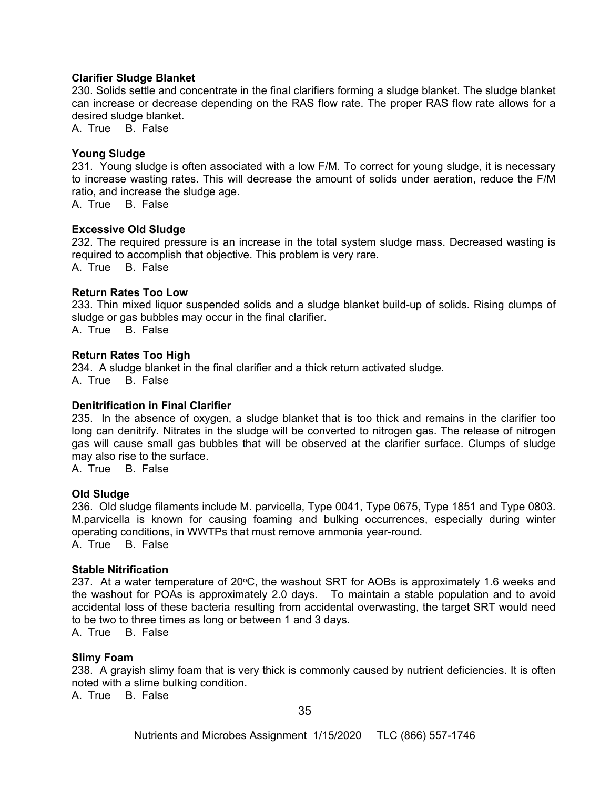## **Clarifier Sludge Blanket**

230. Solids settle and concentrate in the final clarifiers forming a sludge blanket. The sludge blanket can increase or decrease depending on the RAS flow rate. The proper RAS flow rate allows for a desired sludge blanket.

A. True B. False

## **Young Sludge**

231. Young sludge is often associated with a low F/M. To correct for young sludge, it is necessary to increase wasting rates. This will decrease the amount of solids under aeration, reduce the F/M ratio, and increase the sludge age.

A. True B. False

## **Excessive Old Sludge**

232. The required pressure is an increase in the total system sludge mass. Decreased wasting is required to accomplish that objective. This problem is very rare. A. True B. False

#### **Return Rates Too Low**

233. Thin mixed liquor suspended solids and a sludge blanket build-up of solids. Rising clumps of sludge or gas bubbles may occur in the final clarifier.

A. True B. False

#### **Return Rates Too High**

234. A sludge blanket in the final clarifier and a thick return activated sludge. A. True B. False

#### **Denitrification in Final Clarifier**

235. In the absence of oxygen, a sludge blanket that is too thick and remains in the clarifier too long can denitrify. Nitrates in the sludge will be converted to nitrogen gas. The release of nitrogen gas will cause small gas bubbles that will be observed at the clarifier surface. Clumps of sludge may also rise to the surface.

A. True B. False

#### **Old Sludge**

236. Old sludge filaments include M. parvicella, Type 0041, Type 0675, Type 1851 and Type 0803. M.parvicella is known for causing foaming and bulking occurrences, especially during winter operating conditions, in WWTPs that must remove ammonia year-round. A. True B. False

#### **Stable Nitrification**

237. At a water temperature of  $20^{\circ}$ C, the washout SRT for AOBs is approximately 1.6 weeks and the washout for POAs is approximately 2.0 days. To maintain a stable population and to avoid accidental loss of these bacteria resulting from accidental overwasting, the target SRT would need to be two to three times as long or between 1 and 3 days.

A. True B. False

#### **Slimy Foam**

238. A grayish slimy foam that is very thick is commonly caused by nutrient deficiencies. It is often noted with a slime bulking condition.

A. True B. False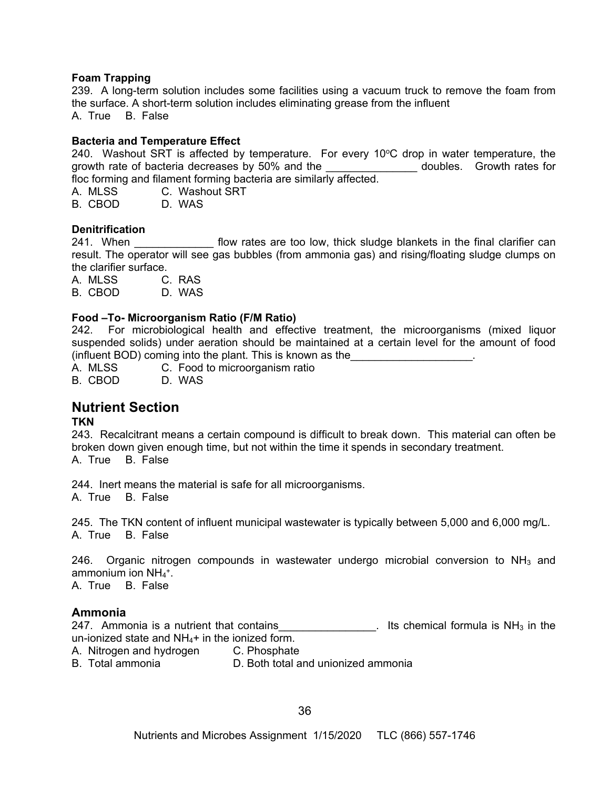## **Foam Trapping**

239. A long-term solution includes some facilities using a vacuum truck to remove the foam from the surface. A short-term solution includes eliminating grease from the influent

A. True B. False

## **Bacteria and Temperature Effect**

240. Washout SRT is affected by temperature. For every 10 $\degree$ C drop in water temperature, the growth rate of bacteria decreases by 50% and the \_\_\_\_\_\_\_\_\_\_\_\_\_\_\_ doubles. Growth rates for floc forming and filament forming bacteria are similarly affected.

A. MLSS C. Washout SRT

B. CBOD D. WAS

## **Denitrification**

241. When **the state of the flow rates are too low**, thick sludge blankets in the final clarifier can result. The operator will see gas bubbles (from ammonia gas) and rising/floating sludge clumps on the clarifier surface.

A. MLSS C. RAS

B. CBOD D. WAS

## **Food –To- Microorganism Ratio (F/M Ratio)**

242. For microbiological health and effective treatment, the microorganisms (mixed liquor suspended solids) under aeration should be maintained at a certain level for the amount of food (influent BOD) coming into the plant. This is known as the

A. MLSS C. Food to microorganism ratio

B. CBOD D. WAS

## **Nutrient Section**

#### **TKN**

243. Recalcitrant means a certain compound is difficult to break down. This material can often be broken down given enough time, but not within the time it spends in secondary treatment. A. True B. False

244. Inert means the material is safe for all microorganisms.

A. True B. False

245. The TKN content of influent municipal wastewater is typically between 5,000 and 6,000 mg/L. A. True B. False

246. Organic nitrogen compounds in wastewater undergo microbial conversion to  $NH<sub>3</sub>$  and ammonium ion NH<sub>4</sub><sup>+</sup>.

A. True B. False

## **Ammonia**

247. Ammonia is a nutrient that contains  $\blacksquare$  is chemical formula is NH<sub>3</sub> in the un-ionized state and  $NH<sub>4</sub>$ + in the ionized form.

A. Nitrogen and hydrogen C. Phosphate<br>B. Total ammonia B. Both total a

D. Both total and unionized ammonia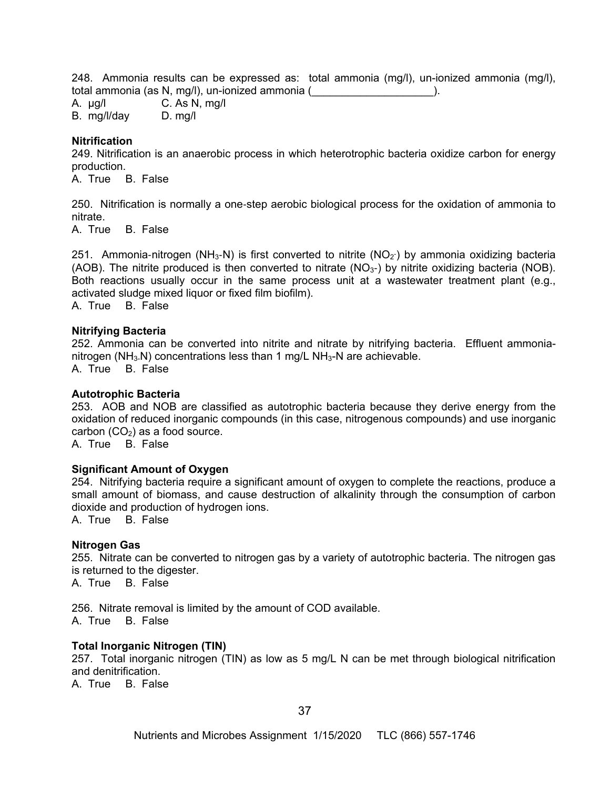248. Ammonia results can be expressed as: total ammonia (mg/l), un-ionized ammonia (mg/l), total ammonia (as N, mg/l), un-ionized ammonia (\_\_\_\_\_\_\_\_\_\_\_\_\_\_\_\_\_\_\_\_).

A. µg/l C. As N, mg/l

B. mg/l/day D. mg/l

## **Nitrification**

249. Nitrification is an anaerobic process in which heterotrophic bacteria oxidize carbon for energy production.

A. True B. False

250. Nitrification is normally a one-step aerobic biological process for the oxidation of ammonia to nitrate.

A. True B. False

251. Ammonia-nitrogen (NH<sub>3</sub>-N) is first converted to nitrite (NO<sub>2</sub>) by ammonia oxidizing bacteria (AOB). The nitrite produced is then converted to nitrate (NO<sub>3</sub>-) by nitrite oxidizing bacteria (NOB). Both reactions usually occur in the same process unit at a wastewater treatment plant (e.g., activated sludge mixed liquor or fixed film biofilm).

A. True B. False

## **Nitrifying Bacteria**

252. Ammonia can be converted into nitrite and nitrate by nitrifying bacteria. Effluent ammonianitrogen (NH<sub>3</sub>-N) concentrations less than 1 mg/L NH<sub>3</sub>-N are achievable.

A. True B. False

## **Autotrophic Bacteria**

253. AOB and NOB are classified as autotrophic bacteria because they derive energy from the oxidation of reduced inorganic compounds (in this case, nitrogenous compounds) and use inorganic carbon  $(CO_2)$  as a food source.

A. True B. False

#### **Significant Amount of Oxygen**

254. Nitrifying bacteria require a significant amount of oxygen to complete the reactions, produce a small amount of biomass, and cause destruction of alkalinity through the consumption of carbon dioxide and production of hydrogen ions.

A. True B. False

#### **Nitrogen Gas**

255. Nitrate can be converted to nitrogen gas by a variety of autotrophic bacteria. The nitrogen gas is returned to the digester.

A. True B. False

256. Nitrate removal is limited by the amount of COD available. A. True B. False

#### **Total Inorganic Nitrogen (TIN)**

257. Total inorganic nitrogen (TIN) as low as 5 mg/L N can be met through biological nitrification and denitrification.

A. True B. False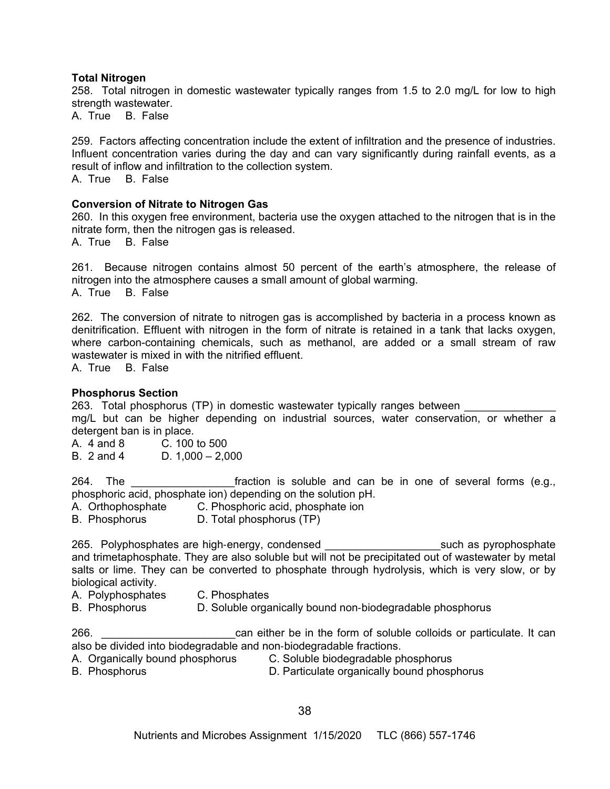## **Total Nitrogen**

258. Total nitrogen in domestic wastewater typically ranges from 1.5 to 2.0 mg/L for low to high strength wastewater.

A. True B. False

259. Factors affecting concentration include the extent of infiltration and the presence of industries. Influent concentration varies during the day and can vary significantly during rainfall events, as a result of inflow and infiltration to the collection system.

A. True B. False

## **Conversion of Nitrate to Nitrogen Gas**

260. In this oxygen free environment, bacteria use the oxygen attached to the nitrogen that is in the nitrate form, then the nitrogen gas is released.

A. True B. False

261. Because nitrogen contains almost 50 percent of the earth's atmosphere, the release of nitrogen into the atmosphere causes a small amount of global warming. A. True B. False

262. The conversion of nitrate to nitrogen gas is accomplished by bacteria in a process known as denitrification. Effluent with nitrogen in the form of nitrate is retained in a tank that lacks oxygen, where carbon-containing chemicals, such as methanol, are added or a small stream of raw wastewater is mixed in with the nitrified effluent.

A. True B. False

## **Phosphorus Section**

263. Total phosphorus (TP) in domestic wastewater typically ranges between

mg/L but can be higher depending on industrial sources, water conservation, or whether a detergent ban is in place.

A. 4 and 8 C. 100 to 500

B. 2 and 4 D.  $1,000 - 2,000$ 

264. The **the soluble and can be in one of several forms (e.g.,** 264. phosphoric acid, phosphate ion) depending on the solution pH.

A. Orthophosphate C. Phosphoric acid, phosphate ion

B. Phosphorus D. Total phosphorus (TP)

265. Polyphosphates are high-energy, condensed entity and the such as pyrophosphate and trimetaphosphate. They are also soluble but will not be precipitated out of wastewater by metal salts or lime. They can be converted to phosphate through hydrolysis, which is very slow, or by biological activity.

- A. Polyphosphates C. Phosphates
- B. Phosphorus D. Soluble organically bound non-biodegradable phosphorus

266. \_\_\_\_\_\_\_\_\_\_\_\_\_\_\_\_\_\_\_\_\_\_can either be in the form of soluble colloids or particulate. It can also be divided into biodegradable and non-biodegradable fractions.

- 
- A. Organically bound phosphorus C. Soluble biodegradable phosphorus
- 
- B. Phosphorus D. Particulate organically bound phosphorus
- 

38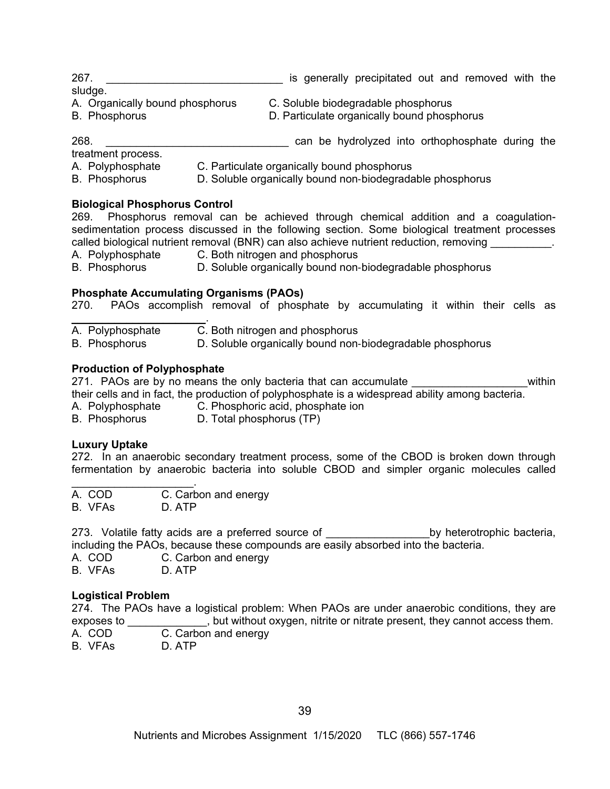| 267.                            | is generally precipitated out and removed with the |
|---------------------------------|----------------------------------------------------|
| sludge.                         |                                                    |
| A. Organically bound phosphorus | C. Soluble biodegradable phosphorus                |
| <b>B.</b> Phosphorus            | D. Particulate organically bound phosphorus        |
| 268.                            | can be hydrolyzed into orthophosphate during the   |
| treatment process.              |                                                    |
| A. Polyphosphate                | C. Particulate organically bound phosphorus        |

B. Phosphorus D. Soluble organically bound non-biodegradable phosphorus

## **Biological Phosphorus Control**

269. Phosphorus removal can be achieved through chemical addition and a coagulationsedimentation process discussed in the following section. Some biological treatment processes called biological nutrient removal (BNR) can also achieve nutrient reduction, removing \_\_\_\_\_\_\_\_\_\_.<br>A. Polyphosphate C. Both nitrogen and phosphorus

C. Both nitrogen and phosphorus

B. Phosphorus D. Soluble organically bound non-biodegradable phosphorus

## **Phosphate Accumulating Organisms (PAOs)**

270. PAOs accomplish removal of phosphate by accumulating it within their cells as

- $\mathcal{L}_\text{max}$  , where  $\mathcal{L}_\text{max}$  and  $\mathcal{L}_\text{max}$ A. Polyphosphate C. Both nitrogen and phosphorus
- B. Phosphorus D. Soluble organically bound non-biodegradable phosphorus

## **Production of Polyphosphate**

271. PAOs are by no means the only bacteria that can accumulate **that in the solution** within their cells and in fact, the production of polyphosphate is a widespread ability among bacteria.

- A. Polyphosphate C. Phosphoric acid, phosphate ion
- B. Phosphorus D. Total phosphorus (TP)

## **Luxury Uptake**

272. In an anaerobic secondary treatment process, some of the CBOD is broken down through fermentation by anaerobic bacteria into soluble CBOD and simpler organic molecules called

 $\mathcal{L}_\text{max}$  and  $\mathcal{L}_\text{max}$  and  $\mathcal{L}_\text{max}$ A. COD C. Carbon and energy

B. VFAs D. ATP

273. Volatile fatty acids are a preferred source of Theorem and Sourch by heterotrophic bacteria, including the PAOs, because these compounds are easily absorbed into the bacteria.

- A. COD C. Carbon and energy<br>B. VEAs D. ATP
- B. VFAs

## **Logistical Problem**

274. The PAOs have a logistical problem: When PAOs are under anaerobic conditions, they are exposes to  $\qquad \qquad$ , but without oxygen, nitrite or nitrate present, they cannot access them.

- A. COD C. Carbon and energy
- B. VFAs D. ATP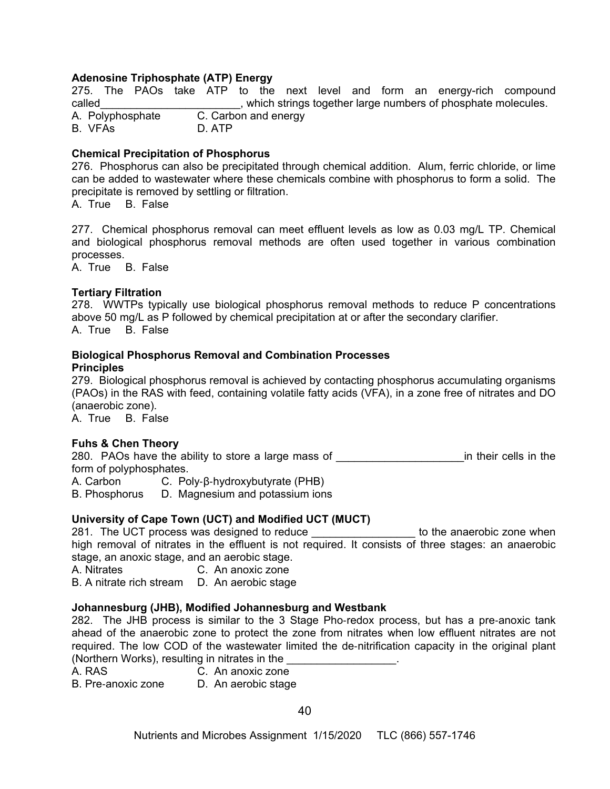## **Adenosine Triphosphate (ATP) Energy**

275. The PAOs take ATP to the next level and form an energy-rich compound called example the strings together large numbers of phosphate molecules. A. Polyphosphate C. Carbon and energy B. VFAs D. ATP

## **Chemical Precipitation of Phosphorus**

276. Phosphorus can also be precipitated through chemical addition. Alum, ferric chloride, or lime can be added to wastewater where these chemicals combine with phosphorus to form a solid. The precipitate is removed by settling or filtration.

A. True B. False

277. Chemical phosphorus removal can meet effluent levels as low as 0.03 mg/L TP. Chemical and biological phosphorus removal methods are often used together in various combination processes.

A. True B. False

## **Tertiary Filtration**

278. WWTPs typically use biological phosphorus removal methods to reduce P concentrations above 50 mg/L as P followed by chemical precipitation at or after the secondary clarifier. A. True B. False

## **Biological Phosphorus Removal and Combination Processes**

#### **Principles**

279. Biological phosphorus removal is achieved by contacting phosphorus accumulating organisms (PAOs) in the RAS with feed, containing volatile fatty acids (VFA), in a zone free of nitrates and DO (anaerobic zone).

A. True B. False

## **Fuhs & Chen Theory**

280. PAOs have the ability to store a large mass of \_\_\_\_\_\_\_\_\_\_\_\_\_\_\_\_\_\_\_\_\_\_\_\_\_\_\_\_in their cells in the form of polyphosphates.

A. Carbon C. Poly-β-hydroxybutyrate (PHB)

B. Phosphorus D. Magnesium and potassium ions

#### **University of Cape Town (UCT) and Modified UCT (MUCT)**

281. The UCT process was designed to reduce example to the anaerobic zone when high removal of nitrates in the effluent is not required. It consists of three stages: an anaerobic stage, an anoxic stage, and an aerobic stage.

A. Nitrates C. An anoxic zone

B. A nitrate rich stream D. An aerobic stage

#### **Johannesburg (JHB), Modified Johannesburg and Westbank**

282. The JHB process is similar to the 3 Stage Pho-redox process, but has a pre-anoxic tank ahead of the anaerobic zone to protect the zone from nitrates when low effluent nitrates are not required. The low COD of the wastewater limited the de-nitrification capacity in the original plant (Northern Works), resulting in nitrates in the

A. RAS C. An anoxic zone

B. Pre-anoxic zone D. An aerobic stage

40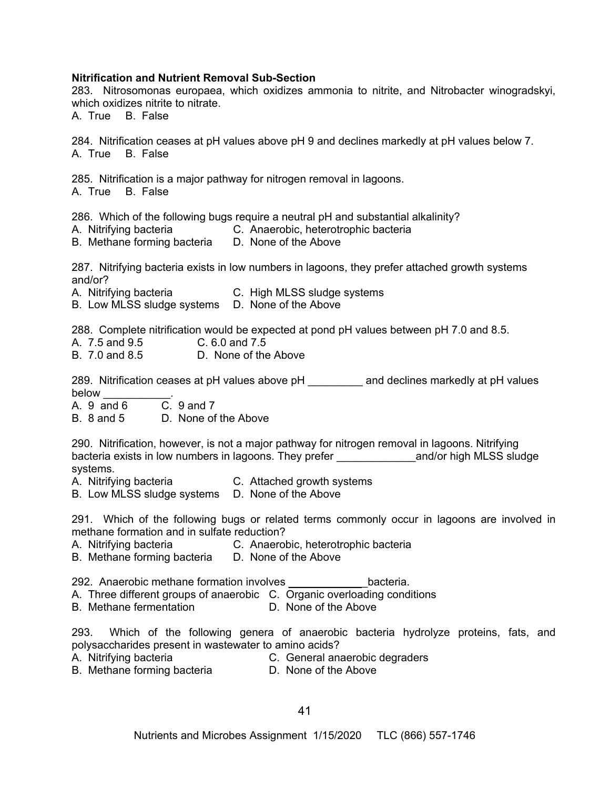## **Nitrification and Nutrient Removal Sub-Section**

| Nitrincation and Nutrient Removal Sub-Section<br>283. Nitrosomonas europaea, which oxidizes ammonia to nitrite, and Nitrobacter winogradskyi,<br>which oxidizes nitrite to nitrate.<br>A. True B. False                                                               |
|-----------------------------------------------------------------------------------------------------------------------------------------------------------------------------------------------------------------------------------------------------------------------|
| 284. Nitrification ceases at pH values above pH 9 and declines markedly at pH values below 7.<br>A. True B. False                                                                                                                                                     |
| 285. Nitrification is a major pathway for nitrogen removal in lagoons.<br>A. True B. False                                                                                                                                                                            |
| 286. Which of the following bugs require a neutral pH and substantial alkalinity?<br>A. Nitrifying bacteria C. Anaerobic, heterotrophic bacteria<br>B. Methane forming bacteria D. None of the Above                                                                  |
| 287. Nitrifying bacteria exists in low numbers in lagoons, they prefer attached growth systems<br>and/or?                                                                                                                                                             |
| A. Nitrifying bacteria C. High MLSS sludge systems<br>B. Low MLSS sludge systems D. None of the Above                                                                                                                                                                 |
| 288. Complete nitrification would be expected at pond pH values between pH 7.0 and 8.5.<br>A. 7.5 and 9.5 C. 6.0 and 7.5<br>B. 7.0 and 8.5 D. None of the Above                                                                                                       |
| 289. Nitrification ceases at pH values above pH _________ and declines markedly at pH values<br>below<br>A. 9 and 6 C. 9 and 7<br>B. 8 and 5 D. None of the Above                                                                                                     |
| 290. Nitrification, however, is not a major pathway for nitrogen removal in lagoons. Nitrifying<br>bacteria exists in low numbers in lagoons. They prefer _________________and/or high MLSS sludge<br>systems.                                                        |
| A. Nitrifying bacteria C. Attached growth systems<br>B. Low MLSS sludge systems D. None of the Above                                                                                                                                                                  |
| 291. Which of the following bugs or related terms commonly occur in lagoons are involved in<br>methane formation and in sulfate reduction?<br>A. Nitrifying bacteria<br>C. Anaerobic, heterotrophic bacteria<br>B. Methane forming bacteria D. None of the Above      |
| 292. Anaerobic methane formation involves<br>bacteria.<br>A. Three different groups of anaerobic C. Organic overloading conditions<br>B. Methane fermentation<br>D. None of the Above                                                                                 |
| Which of the following genera of anaerobic bacteria hydrolyze proteins, fats, and<br>293.<br>polysaccharides present in wastewater to amino acids?<br>A. Nitrifying bacteria<br>C. General anaerobic degraders<br>B. Methane forming bacteria<br>D. None of the Above |